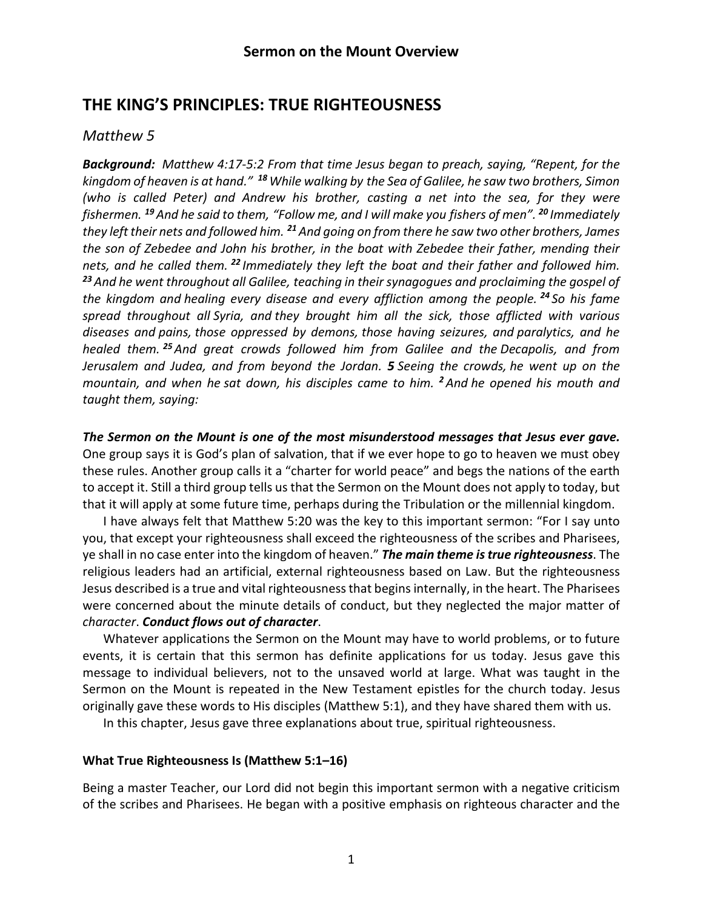# **THE KING'S PRINCIPLES: TRUE RIGHTEOUSNESS**

# *Matthew 5*

*Background: Matthew 4:17-5:2 From that time Jesus began to preach, saying, "Repent, for the kingdom of heaven is at hand." <sup>18</sup>While walking by the Sea of Galilee, he saw two brothers, Simon (who is called Peter) and Andrew his brother, casting a net into the sea, for they were fishermen. <sup>19</sup> And he said to them, "Follow me, and I will make you fishers of men". <sup>20</sup> Immediately they left their nets and followed him. <sup>21</sup> And going on from there he saw two other brothers, James the son of Zebedee and John his brother, in the boat with Zebedee their father, mending their nets, and he called them. <sup>22</sup> Immediately they left the boat and their father and followed him. <sup>23</sup> And he went throughout all Galilee, teaching in their synagogues and proclaiming the gospel of the kingdom and healing every disease and every affliction among the people. <sup>24</sup> So his fame spread throughout all Syria, and they brought him all the sick, those afflicted with various diseases and pains, those oppressed by demons, those having seizures, and paralytics, and he healed them. <sup>25</sup>And great crowds followed him from Galilee and the Decapolis, and from Jerusalem and Judea, and from beyond the Jordan. 5 Seeing the crowds, he went up on the mountain, and when he sat down, his disciples came to him. <sup>2</sup> And he opened his mouth and taught them, saying:*

*The Sermon on the Mount is one of the most misunderstood messages that Jesus ever gave.* One group says it is God's plan of salvation, that if we ever hope to go to heaven we must obey these rules. Another group calls it a "charter for world peace" and begs the nations of the earth to accept it. Still a third group tells us that the Sermon on the Mount does not apply to today, but that it will apply at some future time, perhaps during the Tribulation or the millennial kingdom.

I have always felt that Matthew 5:20 was the key to this important sermon: "For I say unto you, that except your righteousness shall exceed the righteousness of the scribes and Pharisees, ye shall in no case enter into the kingdom of heaven." *The main theme is true righteousness*. The religious leaders had an artificial, external righteousness based on Law. But the righteousness Jesus described is a true and vital righteousness that begins internally, in the heart. The Pharisees were concerned about the minute details of conduct, but they neglected the major matter of *character*. *Conduct flows out of character*.

Whatever applications the Sermon on the Mount may have to world problems, or to future events, it is certain that this sermon has definite applications for us today. Jesus gave this message to individual believers, not to the unsaved world at large. What was taught in the Sermon on the Mount is repeated in the New Testament epistles for the church today. Jesus originally gave these words to His disciples (Matthew 5:1), and they have shared them with us.

In this chapter, Jesus gave three explanations about true, spiritual righteousness.

#### **What True Righteousness Is (Matthew 5:1–16)**

Being a master Teacher, our Lord did not begin this important sermon with a negative criticism of the scribes and Pharisees. He began with a positive emphasis on righteous character and the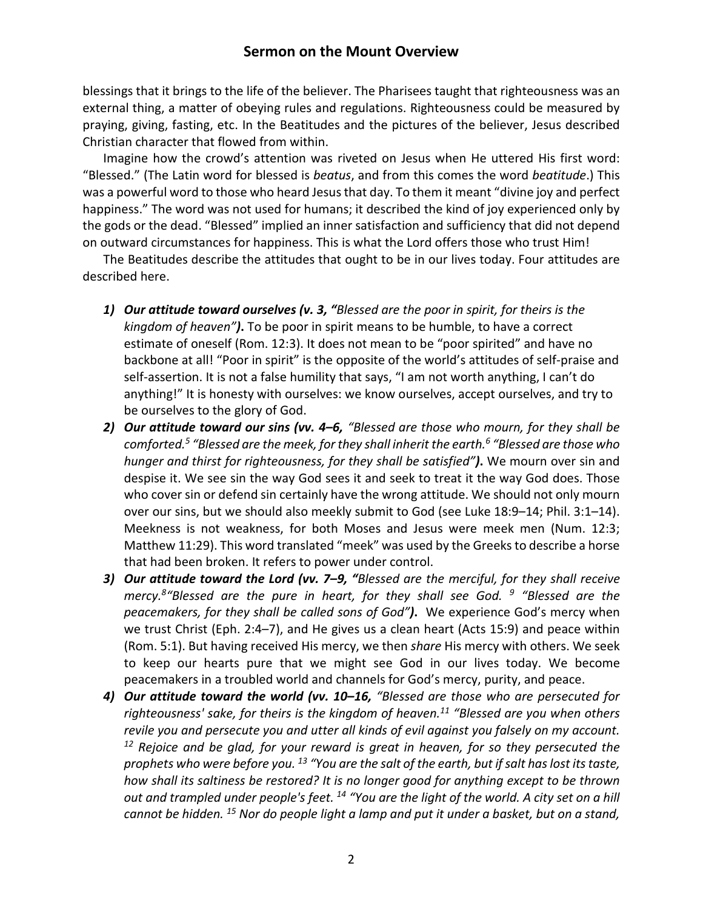blessings that it brings to the life of the believer. The Pharisees taught that righteousness was an external thing, a matter of obeying rules and regulations. Righteousness could be measured by praying, giving, fasting, etc. In the Beatitudes and the pictures of the believer, Jesus described Christian character that flowed from within.

Imagine how the crowd's attention was riveted on Jesus when He uttered His first word: "Blessed." (The Latin word for blessed is *beatus*, and from this comes the word *beatitude*.) This was a powerful word to those who heard Jesus that day. To them it meant "divine joy and perfect happiness." The word was not used for humans; it described the kind of joy experienced only by the gods or the dead. "Blessed" implied an inner satisfaction and sufficiency that did not depend on outward circumstances for happiness. This is what the Lord offers those who trust Him!

The Beatitudes describe the attitudes that ought to be in our lives today. Four attitudes are described here.

- *1) Our attitude toward ourselves (v. 3, "Blessed are the poor in spirit, for theirs is the kingdom of heaven")***.** To be poor in spirit means to be humble, to have a correct estimate of oneself (Rom. 12:3). It does not mean to be "poor spirited" and have no backbone at all! "Poor in spirit" is the opposite of the world's attitudes of self-praise and self-assertion. It is not a false humility that says, "I am not worth anything, I can't do anything!" It is honesty with ourselves: we know ourselves, accept ourselves, and try to be ourselves to the glory of God.
- *2) Our attitude toward our sins (vv. 4–6, "Blessed are those who mourn, for they shall be comforted.5 "Blessed are the meek, for they shall inherit the earth.6 "Blessed are those who hunger and thirst for righteousness, for they shall be satisfied")***.** We mourn over sin and despise it. We see sin the way God sees it and seek to treat it the way God does. Those who cover sin or defend sin certainly have the wrong attitude. We should not only mourn over our sins, but we should also meekly submit to God (see Luke 18:9–14; Phil. 3:1–14). Meekness is not weakness, for both Moses and Jesus were meek men (Num. 12:3; Matthew 11:29). This word translated "meek" was used by the Greeks to describe a horse that had been broken. It refers to power under control.
- *3) Our attitude toward the Lord (vv. 7–9, "Blessed are the merciful, for they shall receive mercy.8"Blessed are the pure in heart, for they shall see God. 9 "Blessed are the peacemakers, for they shall be called sons of God")***.** We experience God's mercy when we trust Christ (Eph. 2:4–7), and He gives us a clean heart (Acts 15:9) and peace within (Rom. 5:1). But having received His mercy, we then *share* His mercy with others. We seek to keep our hearts pure that we might see God in our lives today. We become peacemakers in a troubled world and channels for God's mercy, purity, and peace.
- *4) Our attitude toward the world (vv. 10–16, "Blessed are those who are persecuted for righteousness' sake, for theirs is the kingdom of heaven.11 "Blessed are you when others revile you and persecute you and utter all kinds of evil against you falsely on my account. <sup>12</sup> Rejoice and be glad, for your reward is great in heaven, for so they persecuted the prophets who were before you. <sup>13</sup> "You are the salt of the earth, but if salt has lost its taste, how shall its saltiness be restored? It is no longer good for anything except to be thrown out and trampled under people's feet. 14 "You are the light of the world. A city set on a hill cannot be hidden. 15 Nor do people light a lamp and put it under a basket, but on a stand,*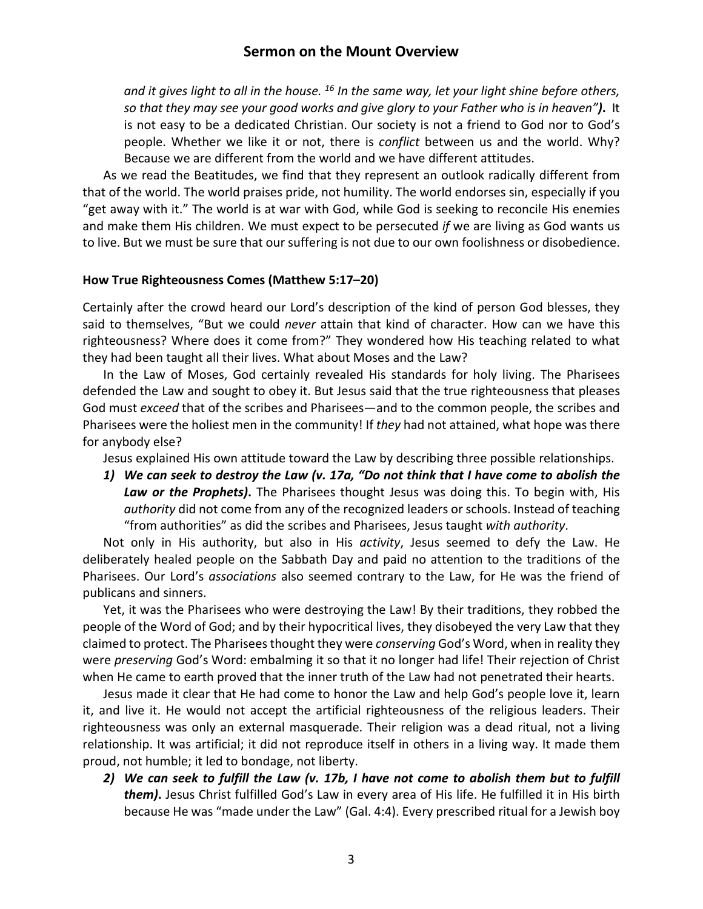*and it gives light to all in the house. 16 In the same way, let your light shine before others, so that they may see your good works and give glory to your Father who is in heaven")***.** It is not easy to be a dedicated Christian. Our society is not a friend to God nor to God's people. Whether we like it or not, there is *conflict* between us and the world. Why? Because we are different from the world and we have different attitudes.

As we read the Beatitudes, we find that they represent an outlook radically different from that of the world. The world praises pride, not humility. The world endorses sin, especially if you "get away with it." The world is at war with God, while God is seeking to reconcile His enemies and make them His children. We must expect to be persecuted *if* we are living as God wants us to live. But we must be sure that our suffering is not due to our own foolishness or disobedience.

#### **How True Righteousness Comes (Matthew 5:17–20)**

Certainly after the crowd heard our Lord's description of the kind of person God blesses, they said to themselves, "But we could *never* attain that kind of character. How can we have this righteousness? Where does it come from?" They wondered how His teaching related to what they had been taught all their lives. What about Moses and the Law?

In the Law of Moses, God certainly revealed His standards for holy living. The Pharisees defended the Law and sought to obey it. But Jesus said that the true righteousness that pleases God must *exceed* that of the scribes and Pharisees—and to the common people, the scribes and Pharisees were the holiest men in the community! If *they* had not attained, what hope was there for anybody else?

Jesus explained His own attitude toward the Law by describing three possible relationships.

*1) We can seek to destroy the Law (v. 17a, "Do not think that I have come to abolish the Law or the Prophets)***.** The Pharisees thought Jesus was doing this. To begin with, His *authority* did not come from any of the recognized leaders or schools. Instead of teaching "from authorities" as did the scribes and Pharisees, Jesus taught *with authority*.

Not only in His authority, but also in His *activity*, Jesus seemed to defy the Law. He deliberately healed people on the Sabbath Day and paid no attention to the traditions of the Pharisees. Our Lord's *associations* also seemed contrary to the Law, for He was the friend of publicans and sinners.

Yet, it was the Pharisees who were destroying the Law! By their traditions, they robbed the people of the Word of God; and by their hypocritical lives, they disobeyed the very Law that they claimed to protect. The Pharisees thought they were *conserving* God's Word, when in reality they were *preserving* God's Word: embalming it so that it no longer had life! Their rejection of Christ when He came to earth proved that the inner truth of the Law had not penetrated their hearts.

Jesus made it clear that He had come to honor the Law and help God's people love it, learn it, and live it. He would not accept the artificial righteousness of the religious leaders. Their righteousness was only an external masquerade. Their religion was a dead ritual, not a living relationship. It was artificial; it did not reproduce itself in others in a living way. It made them proud, not humble; it led to bondage, not liberty.

*2) We can seek to fulfill the Law (v. 17b, I have not come to abolish them but to fulfill them)***.** Jesus Christ fulfilled God's Law in every area of His life. He fulfilled it in His birth because He was "made under the Law" (Gal. 4:4). Every prescribed ritual for a Jewish boy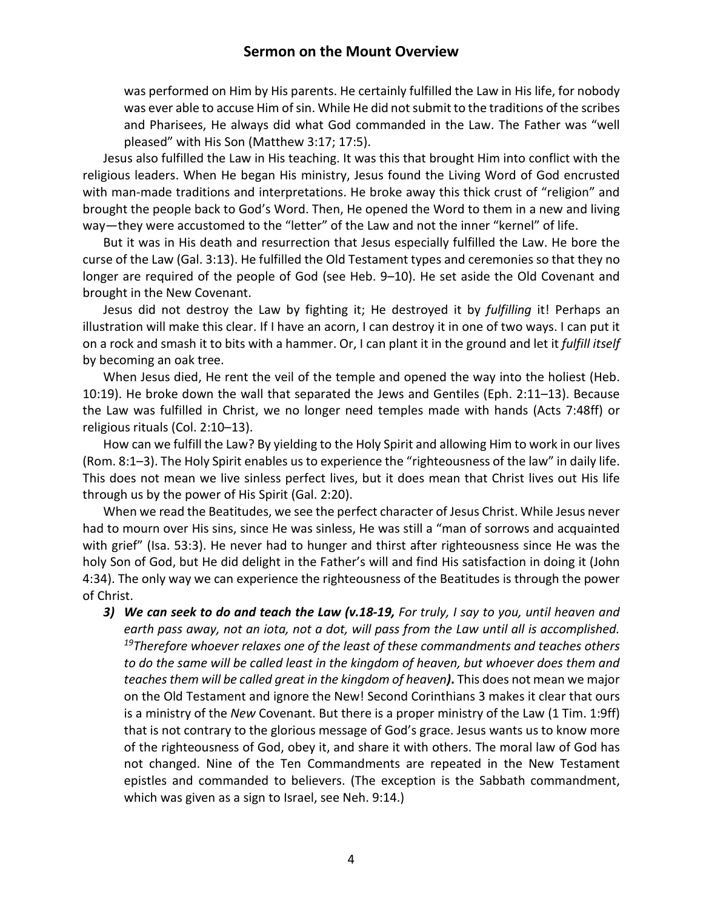was performed on Him by His parents. He certainly fulfilled the Law in His life, for nobody was ever able to accuse Him of sin. While He did not submit to the traditions of the scribes and Pharisees, He always did what God commanded in the Law. The Father was "well pleased" with His Son (Matthew 3:17; 17:5).

Jesus also fulfilled the Law in His teaching. It was this that brought Him into conflict with the religious leaders. When He began His ministry, Jesus found the Living Word of God encrusted with man-made traditions and interpretations. He broke away this thick crust of "religion" and brought the people back to God's Word. Then, He opened the Word to them in a new and living way—they were accustomed to the "letter" of the Law and not the inner "kernel" of life.

But it was in His death and resurrection that Jesus especially fulfilled the Law. He bore the curse of the Law (Gal. 3:13). He fulfilled the Old Testament types and ceremonies so that they no longer are required of the people of God (see Heb. 9–10). He set aside the Old Covenant and brought in the New Covenant.

Jesus did not destroy the Law by fighting it; He destroyed it by *fulfilling* it! Perhaps an illustration will make this clear. If I have an acorn, I can destroy it in one of two ways. I can put it on a rock and smash it to bits with a hammer. Or, I can plant it in the ground and let it *fulfill itself* by becoming an oak tree.

When Jesus died, He rent the veil of the temple and opened the way into the holiest (Heb. 10:19). He broke down the wall that separated the Jews and Gentiles (Eph. 2:11–13). Because the Law was fulfilled in Christ, we no longer need temples made with hands (Acts 7:48ff) or religious rituals (Col. 2:10–13).

How can we fulfill the Law? By yielding to the Holy Spirit and allowing Him to work in our lives (Rom. 8:1–3). The Holy Spirit enables us to experience the "righteousness of the law" in daily life. This does not mean we live sinless perfect lives, but it does mean that Christ lives out His life through us by the power of His Spirit (Gal. 2:20).

When we read the Beatitudes, we see the perfect character of Jesus Christ. While Jesus never had to mourn over His sins, since He was sinless, He was still a "man of sorrows and acquainted with grief" (Isa. 53:3). He never had to hunger and thirst after righteousness since He was the holy Son of God, but He did delight in the Father's will and find His satisfaction in doing it (John 4:34). The only way we can experience the righteousness of the Beatitudes is through the power of Christ.

*3) We can seek to do and teach the Law (v.18-19, For truly, I say to you, until heaven and earth pass away, not an iota, not a dot, will pass from the Law until all is accomplished. 19Therefore whoever relaxes one of the least of these commandments and teaches others to do the same will be called least in the kingdom of heaven, but whoever does them and teaches them will be called great in the kingdom of heaven)***.** This does not mean we major on the Old Testament and ignore the New! Second Corinthians 3 makes it clear that ours is a ministry of the *New* Covenant. But there is a proper ministry of the Law (1 Tim. 1:9ff) that is not contrary to the glorious message of God's grace. Jesus wants us to know more of the righteousness of God, obey it, and share it with others. The moral law of God has not changed. Nine of the Ten Commandments are repeated in the New Testament epistles and commanded to believers. (The exception is the Sabbath commandment, which was given as a sign to Israel, see Neh. 9:14.)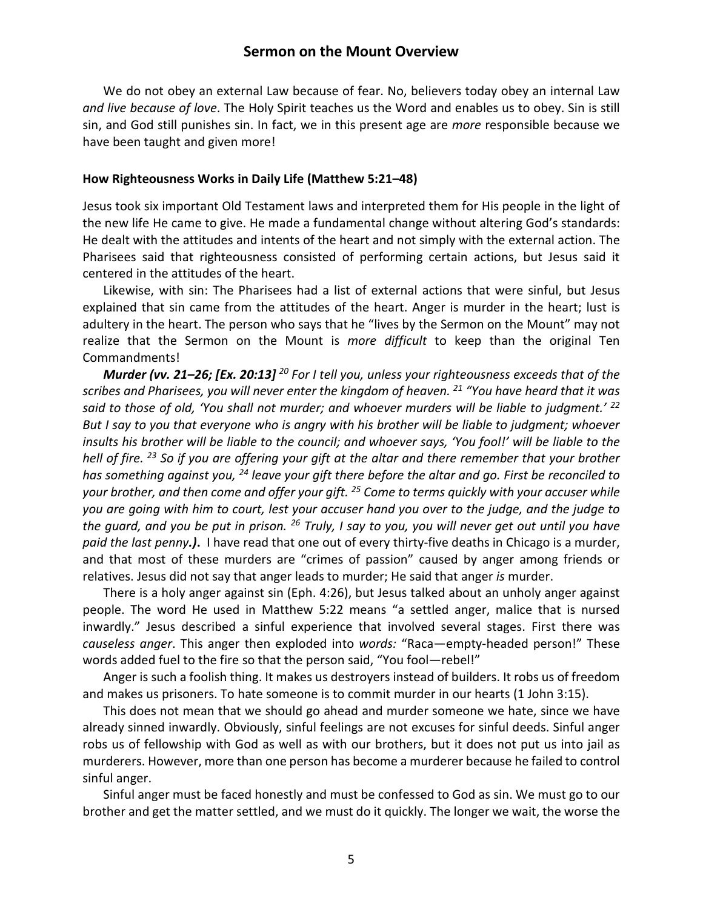We do not obey an external Law because of fear. No, believers today obey an internal Law *and live because of love*. The Holy Spirit teaches us the Word and enables us to obey. Sin is still sin, and God still punishes sin. In fact, we in this present age are *more* responsible because we have been taught and given more!

#### **How Righteousness Works in Daily Life (Matthew 5:21–48)**

Jesus took six important Old Testament laws and interpreted them for His people in the light of the new life He came to give. He made a fundamental change without altering God's standards: He dealt with the attitudes and intents of the heart and not simply with the external action. The Pharisees said that righteousness consisted of performing certain actions, but Jesus said it centered in the attitudes of the heart.

Likewise, with sin: The Pharisees had a list of external actions that were sinful, but Jesus explained that sin came from the attitudes of the heart. Anger is murder in the heart; lust is adultery in the heart. The person who says that he "lives by the Sermon on the Mount" may not realize that the Sermon on the Mount is *more difficult* to keep than the original Ten Commandments!

*Murder (vv. 21–26; [Ex. 20:13] <sup>20</sup> For I tell you, unless your righteousness exceeds that of the scribes and Pharisees, you will never enter the kingdom of heaven. 21 "You have heard that it was said to those of old, 'You shall not murder; and whoever murders will be liable to judgment.' 22 But I say to you that everyone who is angry with his brother will be liable to judgment; whoever insults his brother will be liable to the council; and whoever says, 'You fool!' will be liable to the hell of fire. 23 So if you are offering your gift at the altar and there remember that your brother has something against you, 24 leave your gift there before the altar and go. First be reconciled to your brother, and then come and offer your gift. 25 Come to terms quickly with your accuser while you are going with him to court, lest your accuser hand you over to the judge, and the judge to the guard, and you be put in prison. 26 Truly, I say to you, you will never get out until you have paid the last penny.)***.** I have read that one out of every thirty-five deaths in Chicago is a murder, and that most of these murders are "crimes of passion" caused by anger among friends or relatives. Jesus did not say that anger leads to murder; He said that anger *is* murder.

There is a holy anger against sin (Eph. 4:26), but Jesus talked about an unholy anger against people. The word He used in Matthew 5:22 means "a settled anger, malice that is nursed inwardly." Jesus described a sinful experience that involved several stages. First there was *causeless anger*. This anger then exploded into *words:* "Raca—empty-headed person!" These words added fuel to the fire so that the person said, "You fool—rebel!"

Anger is such a foolish thing. It makes us destroyers instead of builders. It robs us of freedom and makes us prisoners. To hate someone is to commit murder in our hearts (1 John 3:15).

This does not mean that we should go ahead and murder someone we hate, since we have already sinned inwardly. Obviously, sinful feelings are not excuses for sinful deeds. Sinful anger robs us of fellowship with God as well as with our brothers, but it does not put us into jail as murderers. However, more than one person has become a murderer because he failed to control sinful anger.

Sinful anger must be faced honestly and must be confessed to God as sin. We must go to our brother and get the matter settled, and we must do it quickly. The longer we wait, the worse the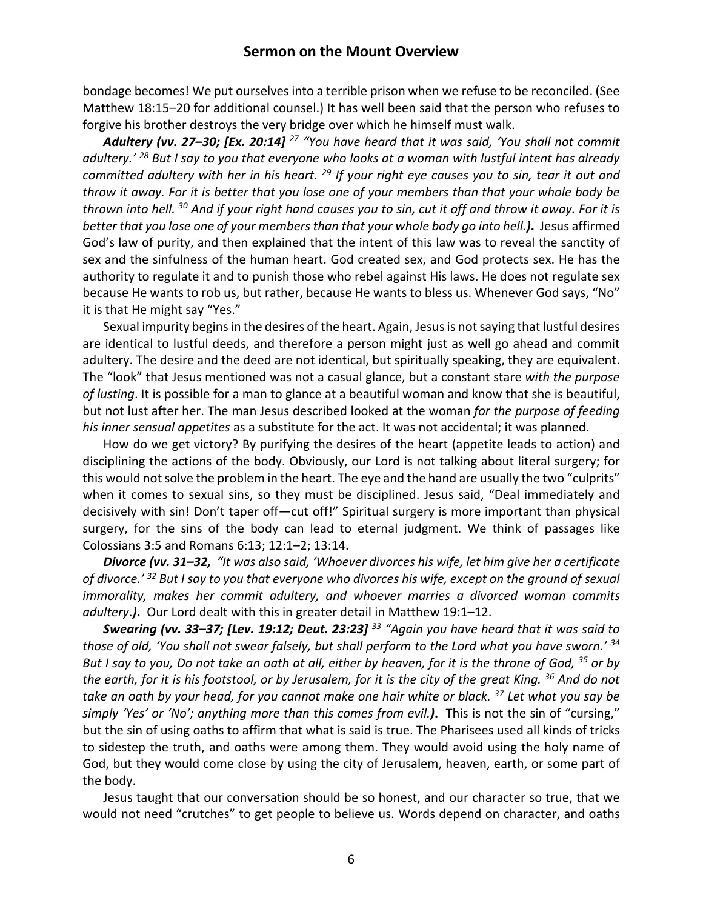bondage becomes! We put ourselves into a terrible prison when we refuse to be reconciled. (See Matthew 18:15–20 for additional counsel.) It has well been said that the person who refuses to forgive his brother destroys the very bridge over which he himself must walk.

*Adultery (vv. 27–30; [Ex. 20:14] <sup>27</sup> "You have heard that it was said, 'You shall not commit adultery.' 28 But I say to you that everyone who looks at a woman with lustful intent has already committed adultery with her in his heart. 29 If your right eye causes you to sin, tear it out and throw it away. For it is better that you lose one of your members than that your whole body be thrown into hell. 30 And if your right hand causes you to sin, cut it off and throw it away. For it is better that you lose one of your members than that your whole body go into hell*.*)***.** Jesus affirmed God's law of purity, and then explained that the intent of this law was to reveal the sanctity of sex and the sinfulness of the human heart. God created sex, and God protects sex. He has the authority to regulate it and to punish those who rebel against His laws. He does not regulate sex because He wants to rob us, but rather, because He wants to bless us. Whenever God says, "No" it is that He might say "Yes."

Sexual impurity begins in the desires of the heart. Again, Jesus is not saying that lustful desires are identical to lustful deeds, and therefore a person might just as well go ahead and commit adultery. The desire and the deed are not identical, but spiritually speaking, they are equivalent. The "look" that Jesus mentioned was not a casual glance, but a constant stare *with the purpose of lusting*. It is possible for a man to glance at a beautiful woman and know that she is beautiful, but not lust after her. The man Jesus described looked at the woman *for the purpose of feeding his inner sensual appetites* as a substitute for the act. It was not accidental; it was planned.

How do we get victory? By purifying the desires of the heart (appetite leads to action) and disciplining the actions of the body. Obviously, our Lord is not talking about literal surgery; for this would not solve the problem in the heart. The eye and the hand are usually the two "culprits" when it comes to sexual sins, so they must be disciplined. Jesus said, "Deal immediately and decisively with sin! Don't taper off—cut off!" Spiritual surgery is more important than physical surgery, for the sins of the body can lead to eternal judgment. We think of passages like Colossians 3:5 and Romans 6:13; 12:1–2; 13:14.

*Divorce (vv. 31–32, "It was also said, 'Whoever divorces his wife, let him give her a certificate of divorce.' 32 But I say to you that everyone who divorces his wife, except on the ground of sexual immorality, makes her commit adultery, and whoever marries a divorced woman commits adultery*.*)***.** Our Lord dealt with this in greater detail in Matthew 19:1–12.

*Swearing (vv. 33–37; [Lev. 19:12; Deut. 23:23] <sup>33</sup> "Again you have heard that it was said to those of old, 'You shall not swear falsely, but shall perform to the Lord what you have sworn.' 34 But I say to you, Do not take an oath at all, either by heaven, for it is the throne of God, 35 or by the earth, for it is his footstool, or by Jerusalem, for it is the city of the great King. 36 And do not take an oath by your head, for you cannot make one hair white or black. 37 Let what you say be simply 'Yes' or 'No'; anything more than this comes from evil.)***.** This is not the sin of "cursing," but the sin of using oaths to affirm that what is said is true. The Pharisees used all kinds of tricks to sidestep the truth, and oaths were among them. They would avoid using the holy name of God, but they would come close by using the city of Jerusalem, heaven, earth, or some part of the body.

Jesus taught that our conversation should be so honest, and our character so true, that we would not need "crutches" to get people to believe us. Words depend on character, and oaths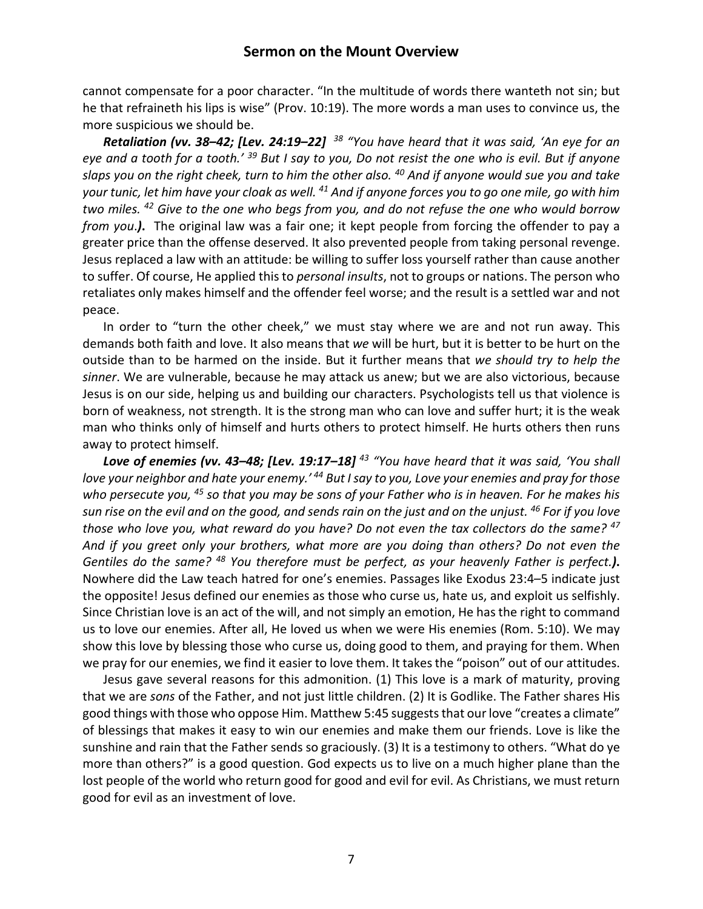cannot compensate for a poor character. "In the multitude of words there wanteth not sin; but he that refraineth his lips is wise" (Prov. 10:19). The more words a man uses to convince us, the more suspicious we should be.

*Retaliation (vv. 38–42; [Lev. 24:19–22] <sup>38</sup> "You have heard that it was said, 'An eye for an eye and a tooth for a tooth.' 39 But I say to you, Do not resist the one who is evil. But if anyone slaps you on the right cheek, turn to him the other also. 40 And if anyone would sue you and take your tunic, let him have your cloak as well. 41 And if anyone forces you to go one mile, go with him two miles. 42 Give to the one who begs from you, and do not refuse the one who would borrow from you*.*)***.** The original law was a fair one; it kept people from forcing the offender to pay a greater price than the offense deserved. It also prevented people from taking personal revenge. Jesus replaced a law with an attitude: be willing to suffer loss yourself rather than cause another to suffer. Of course, He applied this to *personal insults*, not to groups or nations. The person who retaliates only makes himself and the offender feel worse; and the result is a settled war and not peace.

In order to "turn the other cheek," we must stay where we are and not run away. This demands both faith and love. It also means that *we* will be hurt, but it is better to be hurt on the outside than to be harmed on the inside. But it further means that *we should try to help the sinner*. We are vulnerable, because he may attack us anew; but we are also victorious, because Jesus is on our side, helping us and building our characters. Psychologists tell us that violence is born of weakness, not strength. It is the strong man who can love and suffer hurt; it is the weak man who thinks only of himself and hurts others to protect himself. He hurts others then runs away to protect himself.

*Love of enemies (vv. 43–48; [Lev. 19:17–18] <sup>43</sup> "You have heard that it was said, 'You shall love your neighbor and hate your enemy.' 44 But I say to you, Love your enemies and pray for those who persecute you, 45 so that you may be sons of your Father who is in heaven. For he makes his sun rise on the evil and on the good, and sends rain on the just and on the unjust. 46 For if you love those who love you, what reward do you have? Do not even the tax collectors do the same? 47 And if you greet only your brothers, what more are you doing than others? Do not even the Gentiles do the same? 48 You therefore must be perfect, as your heavenly Father is perfect.)***.** Nowhere did the Law teach hatred for one's enemies. Passages like Exodus 23:4–5 indicate just the opposite! Jesus defined our enemies as those who curse us, hate us, and exploit us selfishly. Since Christian love is an act of the will, and not simply an emotion, He has the right to command us to love our enemies. After all, He loved us when we were His enemies (Rom. 5:10). We may show this love by blessing those who curse us, doing good to them, and praying for them. When we pray for our enemies, we find it easier to love them. It takes the "poison" out of our attitudes.

Jesus gave several reasons for this admonition. (1) This love is a mark of maturity, proving that we are *sons* of the Father, and not just little children. (2) It is Godlike. The Father shares His good things with those who oppose Him. Matthew 5:45 suggests that our love "creates a climate" of blessings that makes it easy to win our enemies and make them our friends. Love is like the sunshine and rain that the Father sends so graciously. (3) It is a testimony to others. "What do ye more than others?" is a good question. God expects us to live on a much higher plane than the lost people of the world who return good for good and evil for evil. As Christians, we must return good for evil as an investment of love.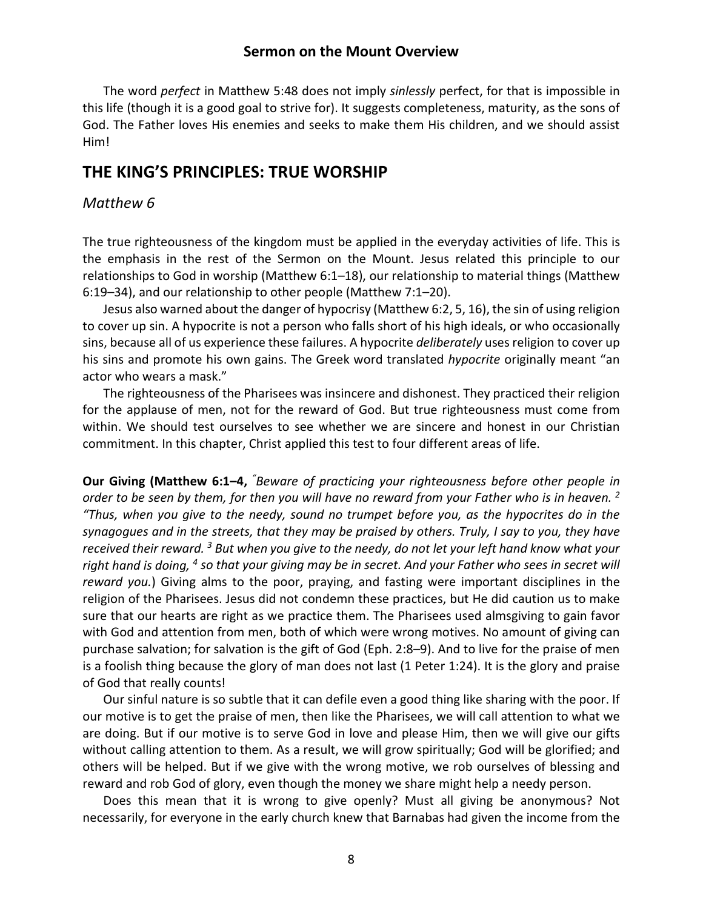The word *perfect* in Matthew 5:48 does not imply *sinlessly* perfect, for that is impossible in this life (though it is a good goal to strive for). It suggests completeness, maturity, as the sons of God. The Father loves His enemies and seeks to make them His children, and we should assist Him!

# **THE KING'S PRINCIPLES: TRUE WORSHIP**

#### *Matthew 6*

The true righteousness of the kingdom must be applied in the everyday activities of life. This is the emphasis in the rest of the Sermon on the Mount. Jesus related this principle to our relationships to God in worship (Matthew 6:1–18), our relationship to material things (Matthew 6:19–34), and our relationship to other people (Matthew 7:1–20).

Jesus also warned about the danger of hypocrisy (Matthew 6:2, 5, 16), the sin of using religion to cover up sin. A hypocrite is not a person who falls short of his high ideals, or who occasionally sins, because all of us experience these failures. A hypocrite *deliberately* uses religion to cover up his sins and promote his own gains. The Greek word translated *hypocrite* originally meant "an actor who wears a mask."

The righteousness of the Pharisees was insincere and dishonest. They practiced their religion for the applause of men, not for the reward of God. But true righteousness must come from within. We should test ourselves to see whether we are sincere and honest in our Christian commitment. In this chapter, Christ applied this test to four different areas of life.

Our Giving (Matthew 6:1-4, <sup>"</sup>Beware of practicing your righteousness before other people in *order to be seen by them, for then you will have no reward from your Father who is in heaven. <sup>2</sup> "Thus, when you give to the needy, sound no trumpet before you, as the hypocrites do in the synagogues and in the streets, that they may be praised by others. Truly, I say to you, they have received their reward. 3 But when you give to the needy, do not let your left hand know what your right hand is doing, 4 so that your giving may be in secret. And your Father who sees in secret will reward you.*) Giving alms to the poor, praying, and fasting were important disciplines in the religion of the Pharisees. Jesus did not condemn these practices, but He did caution us to make sure that our hearts are right as we practice them. The Pharisees used almsgiving to gain favor with God and attention from men, both of which were wrong motives. No amount of giving can purchase salvation; for salvation is the gift of God (Eph. 2:8–9). And to live for the praise of men is a foolish thing because the glory of man does not last (1 Peter 1:24). It is the glory and praise of God that really counts!

Our sinful nature is so subtle that it can defile even a good thing like sharing with the poor. If our motive is to get the praise of men, then like the Pharisees, we will call attention to what we are doing. But if our motive is to serve God in love and please Him, then we will give our gifts without calling attention to them. As a result, we will grow spiritually; God will be glorified; and others will be helped. But if we give with the wrong motive, we rob ourselves of blessing and reward and rob God of glory, even though the money we share might help a needy person.

Does this mean that it is wrong to give openly? Must all giving be anonymous? Not necessarily, for everyone in the early church knew that Barnabas had given the income from the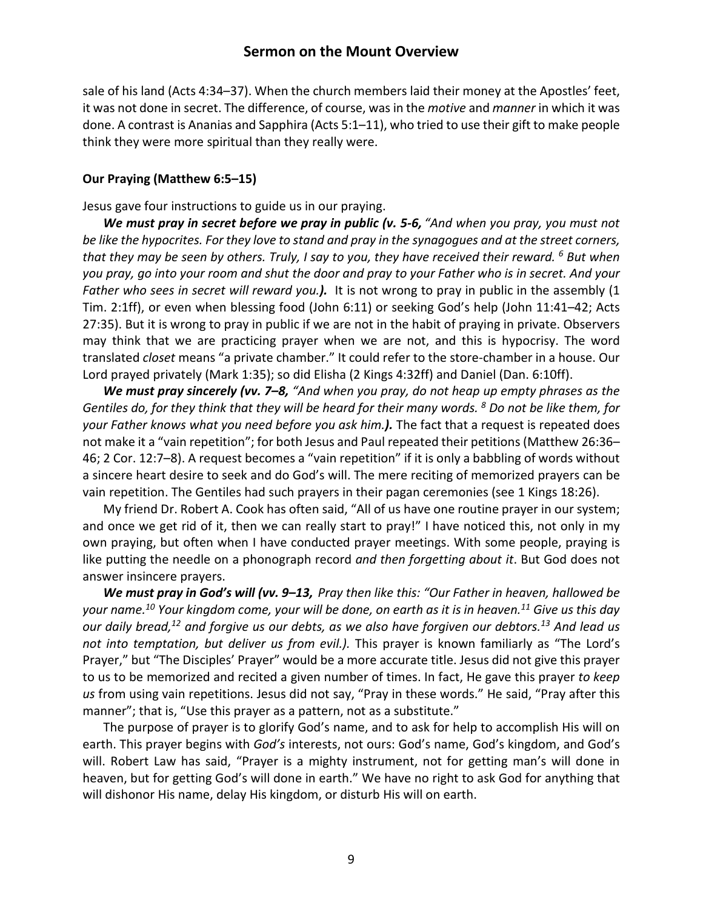sale of his land (Acts 4:34–37). When the church members laid their money at the Apostles' feet, it was not done in secret. The difference, of course, was in the *motive* and *manner* in which it was done. A contrast is Ananias and Sapphira (Acts 5:1–11), who tried to use their gift to make people think they were more spiritual than they really were.

#### **Our Praying (Matthew 6:5–15)**

Jesus gave four instructions to guide us in our praying.

*We must pray in secret before we pray in public (v. 5-6, "And when you pray, you must not be like the hypocrites. For they love to stand and pray in the synagogues and at the street corners, that they may be seen by others. Truly, I say to you, they have received their reward. 6 But when you pray, go into your room and shut the door and pray to your Father who is in secret. And your Father who sees in secret will reward you.).* It is not wrong to pray in public in the assembly (1 Tim. 2:1ff), or even when blessing food (John 6:11) or seeking God's help (John 11:41–42; Acts 27:35). But it is wrong to pray in public if we are not in the habit of praying in private. Observers may think that we are practicing prayer when we are not, and this is hypocrisy. The word translated *closet* means "a private chamber." It could refer to the store-chamber in a house. Our Lord prayed privately (Mark 1:35); so did Elisha (2 Kings 4:32ff) and Daniel (Dan. 6:10ff).

*We must pray sincerely (vv. 7–8, "And when you pray, do not heap up empty phrases as the Gentiles do, for they think that they will be heard for their many words. 8 Do not be like them, for your Father knows what you need before you ask him.).* The fact that a request is repeated does not make it a "vain repetition"; for both Jesus and Paul repeated their petitions (Matthew 26:36– 46; 2 Cor. 12:7–8). A request becomes a "vain repetition" if it is only a babbling of words without a sincere heart desire to seek and do God's will. The mere reciting of memorized prayers can be vain repetition. The Gentiles had such prayers in their pagan ceremonies (see 1 Kings 18:26).

My friend Dr. Robert A. Cook has often said, "All of us have one routine prayer in our system; and once we get rid of it, then we can really start to pray!" I have noticed this, not only in my own praying, but often when I have conducted prayer meetings. With some people, praying is like putting the needle on a phonograph record *and then forgetting about it*. But God does not answer insincere prayers.

*We must pray in God's will (vv. 9–13, Pray then like this: "Our Father in heaven, hallowed be your name.10 Your kingdom come, your will be done, on earth as it is in heaven.11 Give us this day our daily bread,12 and forgive us our debts, as we also have forgiven our debtors.13 And lead us not into temptation, but deliver us from evil.).* This prayer is known familiarly as "The Lord's Prayer," but "The Disciples' Prayer" would be a more accurate title. Jesus did not give this prayer to us to be memorized and recited a given number of times. In fact, He gave this prayer *to keep us* from using vain repetitions. Jesus did not say, "Pray in these words." He said, "Pray after this manner"; that is, "Use this prayer as a pattern, not as a substitute."

The purpose of prayer is to glorify God's name, and to ask for help to accomplish His will on earth. This prayer begins with *God's* interests, not ours: God's name, God's kingdom, and God's will. Robert Law has said, "Prayer is a mighty instrument, not for getting man's will done in heaven, but for getting God's will done in earth." We have no right to ask God for anything that will dishonor His name, delay His kingdom, or disturb His will on earth.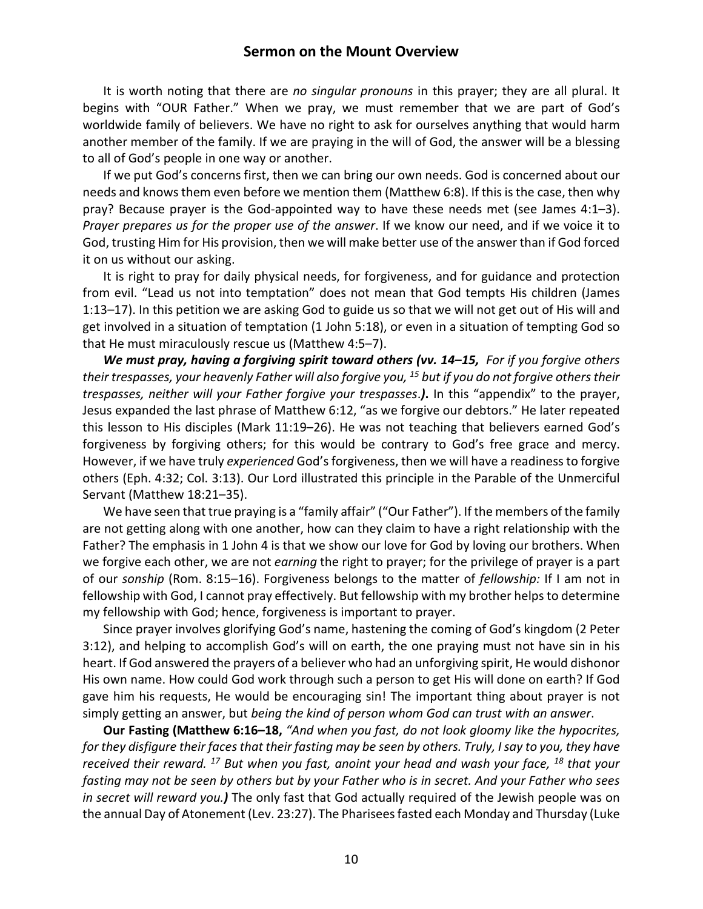It is worth noting that there are *no singular pronouns* in this prayer; they are all plural. It begins with "OUR Father." When we pray, we must remember that we are part of God's worldwide family of believers. We have no right to ask for ourselves anything that would harm another member of the family. If we are praying in the will of God, the answer will be a blessing to all of God's people in one way or another.

If we put God's concerns first, then we can bring our own needs. God is concerned about our needs and knows them even before we mention them (Matthew 6:8). If this is the case, then why pray? Because prayer is the God-appointed way to have these needs met (see James 4:1–3). *Prayer prepares us for the proper use of the answer*. If we know our need, and if we voice it to God, trusting Him for His provision, then we will make better use of the answer than if God forced it on us without our asking.

It is right to pray for daily physical needs, for forgiveness, and for guidance and protection from evil. "Lead us not into temptation" does not mean that God tempts His children (James 1:13–17). In this petition we are asking God to guide us so that we will not get out of His will and get involved in a situation of temptation (1 John 5:18), or even in a situation of tempting God so that He must miraculously rescue us (Matthew 4:5–7).

*We must pray, having a forgiving spirit toward others (vv. 14–15, For if you forgive others their trespasses, your heavenly Father will also forgive you, 15 but if you do not forgive others their trespasses, neither will your Father forgive your trespasses*.*)***.** In this "appendix" to the prayer, Jesus expanded the last phrase of Matthew 6:12, "as we forgive our debtors." He later repeated this lesson to His disciples (Mark 11:19–26). He was not teaching that believers earned God's forgiveness by forgiving others; for this would be contrary to God's free grace and mercy. However, if we have truly *experienced* God's forgiveness, then we will have a readiness to forgive others (Eph. 4:32; Col. 3:13). Our Lord illustrated this principle in the Parable of the Unmerciful Servant (Matthew 18:21–35).

We have seen that true praying is a "family affair" ("Our Father"). If the members of the family are not getting along with one another, how can they claim to have a right relationship with the Father? The emphasis in 1 John 4 is that we show our love for God by loving our brothers. When we forgive each other, we are not *earning* the right to prayer; for the privilege of prayer is a part of our *sonship* (Rom. 8:15–16). Forgiveness belongs to the matter of *fellowship:* If I am not in fellowship with God, I cannot pray effectively. But fellowship with my brother helps to determine my fellowship with God; hence, forgiveness is important to prayer.

Since prayer involves glorifying God's name, hastening the coming of God's kingdom (2 Peter 3:12), and helping to accomplish God's will on earth, the one praying must not have sin in his heart. If God answered the prayers of a believer who had an unforgiving spirit, He would dishonor His own name. How could God work through such a person to get His will done on earth? If God gave him his requests, He would be encouraging sin! The important thing about prayer is not simply getting an answer, but *being the kind of person whom God can trust with an answer*.

**Our Fasting (Matthew 6:16–18,** *"And when you fast, do not look gloomy like the hypocrites, for they disfigure their faces that their fasting may be seen by others. Truly, I say to you, they have received their reward. 17 But when you fast, anoint your head and wash your face, 18 that your fasting may not be seen by others but by your Father who is in secret. And your Father who sees in secret will reward you.)* The only fast that God actually required of the Jewish people was on the annual Day of Atonement (Lev. 23:27). The Pharisees fasted each Monday and Thursday (Luke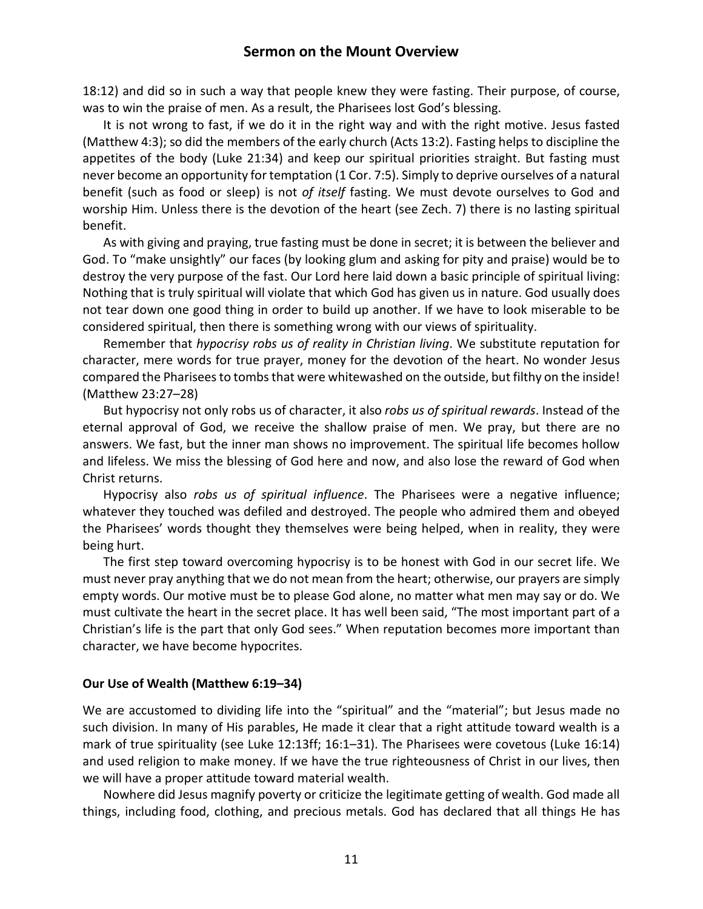18:12) and did so in such a way that people knew they were fasting. Their purpose, of course, was to win the praise of men. As a result, the Pharisees lost God's blessing.

It is not wrong to fast, if we do it in the right way and with the right motive. Jesus fasted (Matthew 4:3); so did the members of the early church (Acts 13:2). Fasting helps to discipline the appetites of the body (Luke 21:34) and keep our spiritual priorities straight. But fasting must never become an opportunity for temptation (1 Cor. 7:5). Simply to deprive ourselves of a natural benefit (such as food or sleep) is not *of itself* fasting. We must devote ourselves to God and worship Him. Unless there is the devotion of the heart (see Zech. 7) there is no lasting spiritual benefit.

As with giving and praying, true fasting must be done in secret; it is between the believer and God. To "make unsightly" our faces (by looking glum and asking for pity and praise) would be to destroy the very purpose of the fast. Our Lord here laid down a basic principle of spiritual living: Nothing that is truly spiritual will violate that which God has given us in nature. God usually does not tear down one good thing in order to build up another. If we have to look miserable to be considered spiritual, then there is something wrong with our views of spirituality.

Remember that *hypocrisy robs us of reality in Christian living*. We substitute reputation for character, mere words for true prayer, money for the devotion of the heart. No wonder Jesus compared the Pharisees to tombs that were whitewashed on the outside, but filthy on the inside! (Matthew 23:27–28)

But hypocrisy not only robs us of character, it also *robs us of spiritual rewards*. Instead of the eternal approval of God, we receive the shallow praise of men. We pray, but there are no answers. We fast, but the inner man shows no improvement. The spiritual life becomes hollow and lifeless. We miss the blessing of God here and now, and also lose the reward of God when Christ returns.

Hypocrisy also *robs us of spiritual influence*. The Pharisees were a negative influence; whatever they touched was defiled and destroyed. The people who admired them and obeyed the Pharisees' words thought they themselves were being helped, when in reality, they were being hurt.

The first step toward overcoming hypocrisy is to be honest with God in our secret life. We must never pray anything that we do not mean from the heart; otherwise, our prayers are simply empty words. Our motive must be to please God alone, no matter what men may say or do. We must cultivate the heart in the secret place. It has well been said, "The most important part of a Christian's life is the part that only God sees." When reputation becomes more important than character, we have become hypocrites.

#### **Our Use of Wealth (Matthew 6:19–34)**

We are accustomed to dividing life into the "spiritual" and the "material"; but Jesus made no such division. In many of His parables, He made it clear that a right attitude toward wealth is a mark of true spirituality (see Luke 12:13ff; 16:1–31). The Pharisees were covetous (Luke 16:14) and used religion to make money. If we have the true righteousness of Christ in our lives, then we will have a proper attitude toward material wealth.

Nowhere did Jesus magnify poverty or criticize the legitimate getting of wealth. God made all things, including food, clothing, and precious metals. God has declared that all things He has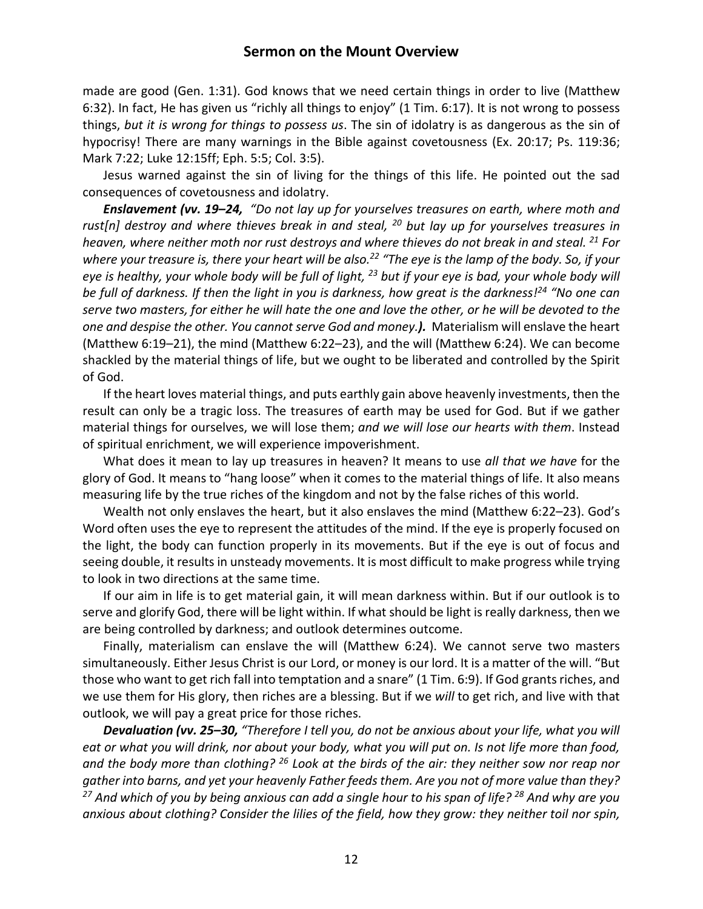made are good (Gen. 1:31). God knows that we need certain things in order to live (Matthew 6:32). In fact, He has given us "richly all things to enjoy" (1 Tim. 6:17). It is not wrong to possess things, *but it is wrong for things to possess us*. The sin of idolatry is as dangerous as the sin of hypocrisy! There are many warnings in the Bible against covetousness (Ex. 20:17; Ps. 119:36; Mark 7:22; Luke 12:15ff; Eph. 5:5; Col. 3:5).

Jesus warned against the sin of living for the things of this life. He pointed out the sad consequences of covetousness and idolatry.

*Enslavement (vv. 19–24, "Do not lay up for yourselves treasures on earth, where moth and rust[n] destroy and where thieves break in and steal, 20 but lay up for yourselves treasures in heaven, where neither moth nor rust destroys and where thieves do not break in and steal. 21 For where your treasure is, there your heart will be also.22 "The eye is the lamp of the body. So, if your eye is healthy, your whole body will be full of light, 23 but if your eye is bad, your whole body will be full of darkness. If then the light in you is darkness, how great is the darkness!24 "No one can serve two masters, for either he will hate the one and love the other, or he will be devoted to the one and despise the other. You cannot serve God and money.).* Materialism will enslave the heart (Matthew 6:19–21), the mind (Matthew 6:22–23), and the will (Matthew 6:24). We can become shackled by the material things of life, but we ought to be liberated and controlled by the Spirit of God.

If the heart loves material things, and puts earthly gain above heavenly investments, then the result can only be a tragic loss. The treasures of earth may be used for God. But if we gather material things for ourselves, we will lose them; *and we will lose our hearts with them*. Instead of spiritual enrichment, we will experience impoverishment.

What does it mean to lay up treasures in heaven? It means to use *all that we have* for the glory of God. It means to "hang loose" when it comes to the material things of life. It also means measuring life by the true riches of the kingdom and not by the false riches of this world.

Wealth not only enslaves the heart, but it also enslaves the mind (Matthew 6:22–23). God's Word often uses the eye to represent the attitudes of the mind. If the eye is properly focused on the light, the body can function properly in its movements. But if the eye is out of focus and seeing double, it results in unsteady movements. It is most difficult to make progress while trying to look in two directions at the same time.

If our aim in life is to get material gain, it will mean darkness within. But if our outlook is to serve and glorify God, there will be light within. If what should be light is really darkness, then we are being controlled by darkness; and outlook determines outcome.

Finally, materialism can enslave the will (Matthew 6:24). We cannot serve two masters simultaneously. Either Jesus Christ is our Lord, or money is our lord. It is a matter of the will. "But those who want to get rich fall into temptation and a snare" (1 Tim. 6:9). If God grants riches, and we use them for His glory, then riches are a blessing. But if we *will* to get rich, and live with that outlook, we will pay a great price for those riches.

*Devaluation (vv. 25–30, "Therefore I tell you, do not be anxious about your life, what you will eat or what you will drink, nor about your body, what you will put on. Is not life more than food, and the body more than clothing? 26 Look at the birds of the air: they neither sow nor reap nor gather into barns, and yet your heavenly Father feeds them. Are you not of more value than they? <sup>27</sup> And which of you by being anxious can add a single hour to his span of life? 28 And why are you anxious about clothing? Consider the lilies of the field, how they grow: they neither toil nor spin,*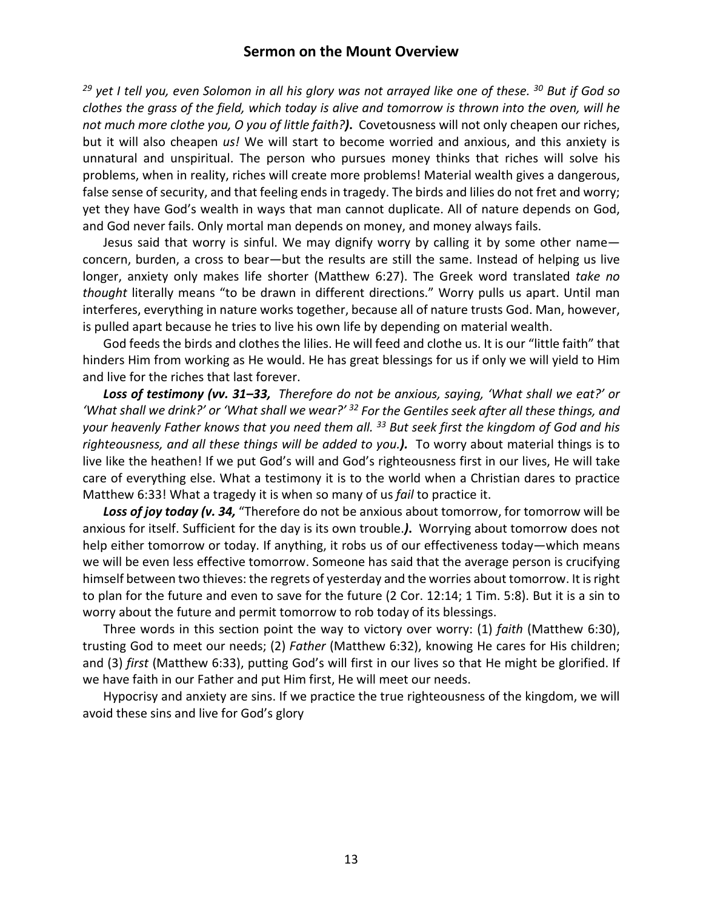*<sup>29</sup> yet I tell you, even Solomon in all his glory was not arrayed like one of these. 30 But if God so clothes the grass of the field, which today is alive and tomorrow is thrown into the oven, will he not much more clothe you, O you of little faith?)***.** Covetousness will not only cheapen our riches, but it will also cheapen *us!* We will start to become worried and anxious, and this anxiety is unnatural and unspiritual. The person who pursues money thinks that riches will solve his problems, when in reality, riches will create more problems! Material wealth gives a dangerous, false sense of security, and that feeling ends in tragedy. The birds and lilies do not fret and worry; yet they have God's wealth in ways that man cannot duplicate. All of nature depends on God, and God never fails. Only mortal man depends on money, and money always fails.

Jesus said that worry is sinful. We may dignify worry by calling it by some other name concern, burden, a cross to bear—but the results are still the same. Instead of helping us live longer, anxiety only makes life shorter (Matthew 6:27). The Greek word translated *take no thought* literally means "to be drawn in different directions." Worry pulls us apart. Until man interferes, everything in nature works together, because all of nature trusts God. Man, however, is pulled apart because he tries to live his own life by depending on material wealth.

God feeds the birds and clothes the lilies. He will feed and clothe us. It is our "little faith" that hinders Him from working as He would. He has great blessings for us if only we will yield to Him and live for the riches that last forever.

*Loss of testimony (vv. 31–33, Therefore do not be anxious, saying, 'What shall we eat?' or 'What shall we drink?' or 'What shall we wear?' 32 For the Gentiles seek after all these things, and your heavenly Father knows that you need them all. 33 But seek first the kingdom of God and his righteousness, and all these things will be added to you.).* To worry about material things is to live like the heathen! If we put God's will and God's righteousness first in our lives, He will take care of everything else. What a testimony it is to the world when a Christian dares to practice Matthew 6:33! What a tragedy it is when so many of us *fail* to practice it.

Loss of joy today (v. 34, "Therefore do not be anxious about tomorrow, for tomorrow will be anxious for itself. Sufficient for the day is its own trouble.*)***.** Worrying about tomorrow does not help either tomorrow or today. If anything, it robs us of our effectiveness today—which means we will be even less effective tomorrow. Someone has said that the average person is crucifying himself between two thieves: the regrets of yesterday and the worries about tomorrow. It is right to plan for the future and even to save for the future (2 Cor. 12:14; 1 Tim. 5:8). But it is a sin to worry about the future and permit tomorrow to rob today of its blessings.

Three words in this section point the way to victory over worry: (1) *faith* (Matthew 6:30), trusting God to meet our needs; (2) *Father* (Matthew 6:32), knowing He cares for His children; and (3) *first* (Matthew 6:33), putting God's will first in our lives so that He might be glorified. If we have faith in our Father and put Him first, He will meet our needs.

Hypocrisy and anxiety are sins. If we practice the true righteousness of the kingdom, we will avoid these sins and live for God's glory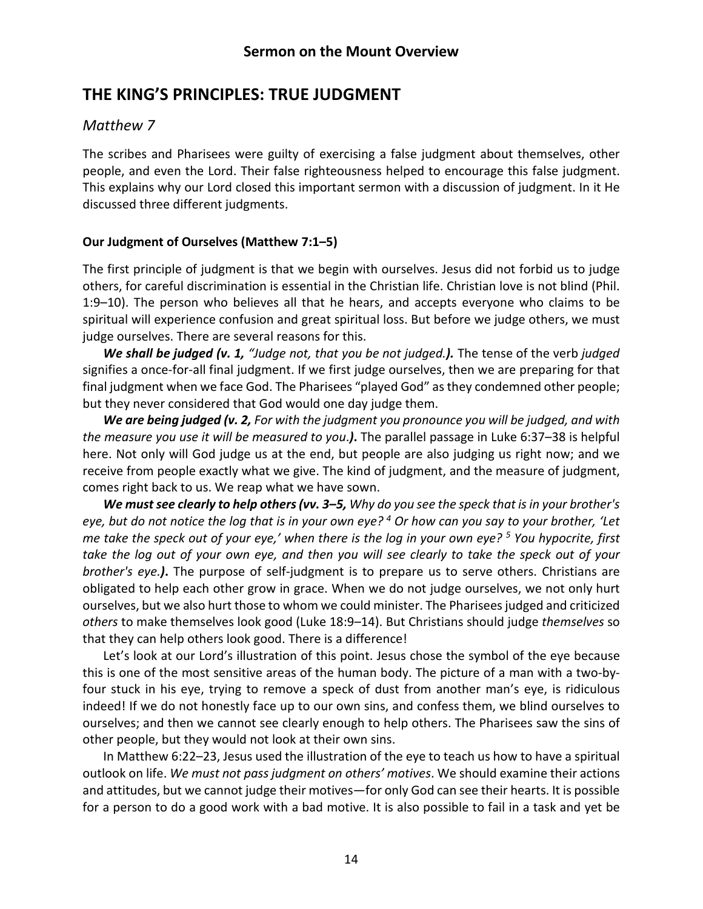# **THE KING'S PRINCIPLES: TRUE JUDGMENT**

# *Matthew 7*

The scribes and Pharisees were guilty of exercising a false judgment about themselves, other people, and even the Lord. Their false righteousness helped to encourage this false judgment. This explains why our Lord closed this important sermon with a discussion of judgment. In it He discussed three different judgments.

## **Our Judgment of Ourselves (Matthew 7:1–5)**

The first principle of judgment is that we begin with ourselves. Jesus did not forbid us to judge others, for careful discrimination is essential in the Christian life. Christian love is not blind (Phil. 1:9–10). The person who believes all that he hears, and accepts everyone who claims to be spiritual will experience confusion and great spiritual loss. But before we judge others, we must judge ourselves. There are several reasons for this.

*We shall be judged (v. 1, "Judge not, that you be not judged.).* The tense of the verb *judged* signifies a once-for-all final judgment. If we first judge ourselves, then we are preparing for that final judgment when we face God. The Pharisees "played God" as they condemned other people; but they never considered that God would one day judge them.

*We are being judged (v. 2, For with the judgment you pronounce you will be judged, and with the measure you use it will be measured to you*.*)***.** The parallel passage in Luke 6:37–38 is helpful here. Not only will God judge us at the end, but people are also judging us right now; and we receive from people exactly what we give. The kind of judgment, and the measure of judgment, comes right back to us. We reap what we have sown.

*We must see clearly to help others (vv. 3–5, Why do you see the speck that is in your brother's eye, but do not notice the log that is in your own eye? 4 Or how can you say to your brother, 'Let me take the speck out of your eye,' when there is the log in your own eye? 5 You hypocrite, first take the log out of your own eye, and then you will see clearly to take the speck out of your brother's eye.)***.** The purpose of self-judgment is to prepare us to serve others. Christians are obligated to help each other grow in grace. When we do not judge ourselves, we not only hurt ourselves, but we also hurt those to whom we could minister. The Pharisees judged and criticized *others* to make themselves look good (Luke 18:9–14). But Christians should judge *themselves* so that they can help others look good. There is a difference!

Let's look at our Lord's illustration of this point. Jesus chose the symbol of the eye because this is one of the most sensitive areas of the human body. The picture of a man with a two-byfour stuck in his eye, trying to remove a speck of dust from another man's eye, is ridiculous indeed! If we do not honestly face up to our own sins, and confess them, we blind ourselves to ourselves; and then we cannot see clearly enough to help others. The Pharisees saw the sins of other people, but they would not look at their own sins.

In Matthew 6:22–23, Jesus used the illustration of the eye to teach us how to have a spiritual outlook on life. *We must not pass judgment on others' motives*. We should examine their actions and attitudes, but we cannot judge their motives—for only God can see their hearts. It is possible for a person to do a good work with a bad motive. It is also possible to fail in a task and yet be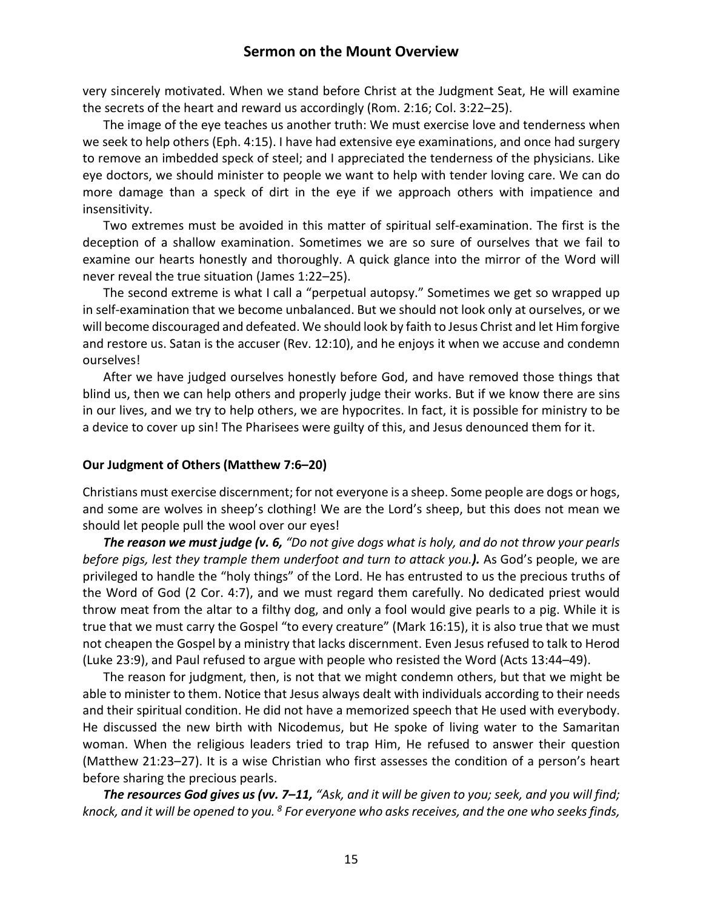very sincerely motivated. When we stand before Christ at the Judgment Seat, He will examine the secrets of the heart and reward us accordingly (Rom. 2:16; Col. 3:22–25).

The image of the eye teaches us another truth: We must exercise love and tenderness when we seek to help others (Eph. 4:15). I have had extensive eye examinations, and once had surgery to remove an imbedded speck of steel; and I appreciated the tenderness of the physicians. Like eye doctors, we should minister to people we want to help with tender loving care. We can do more damage than a speck of dirt in the eye if we approach others with impatience and insensitivity.

Two extremes must be avoided in this matter of spiritual self-examination. The first is the deception of a shallow examination. Sometimes we are so sure of ourselves that we fail to examine our hearts honestly and thoroughly. A quick glance into the mirror of the Word will never reveal the true situation (James 1:22–25).

The second extreme is what I call a "perpetual autopsy." Sometimes we get so wrapped up in self-examination that we become unbalanced. But we should not look only at ourselves, or we will become discouraged and defeated. We should look by faith to Jesus Christ and let Him forgive and restore us. Satan is the accuser (Rev. 12:10), and he enjoys it when we accuse and condemn ourselves!

After we have judged ourselves honestly before God, and have removed those things that blind us, then we can help others and properly judge their works. But if we know there are sins in our lives, and we try to help others, we are hypocrites. In fact, it is possible for ministry to be a device to cover up sin! The Pharisees were guilty of this, and Jesus denounced them for it.

#### **Our Judgment of Others (Matthew 7:6–20)**

Christians must exercise discernment; for not everyone is a sheep. Some people are dogs or hogs, and some are wolves in sheep's clothing! We are the Lord's sheep, but this does not mean we should let people pull the wool over our eyes!

*The reason we must judge (v. 6, "Do not give dogs what is holy, and do not throw your pearls before pigs, lest they trample them underfoot and turn to attack you.).* As God's people, we are privileged to handle the "holy things" of the Lord. He has entrusted to us the precious truths of the Word of God (2 Cor. 4:7), and we must regard them carefully. No dedicated priest would throw meat from the altar to a filthy dog, and only a fool would give pearls to a pig. While it is true that we must carry the Gospel "to every creature" (Mark 16:15), it is also true that we must not cheapen the Gospel by a ministry that lacks discernment. Even Jesus refused to talk to Herod (Luke 23:9), and Paul refused to argue with people who resisted the Word (Acts 13:44–49).

The reason for judgment, then, is not that we might condemn others, but that we might be able to minister to them. Notice that Jesus always dealt with individuals according to their needs and their spiritual condition. He did not have a memorized speech that He used with everybody. He discussed the new birth with Nicodemus, but He spoke of living water to the Samaritan woman. When the religious leaders tried to trap Him, He refused to answer their question (Matthew 21:23–27). It is a wise Christian who first assesses the condition of a person's heart before sharing the precious pearls.

*The resources God gives us (vv. 7–11, "Ask, and it will be given to you; seek, and you will find; knock, and it will be opened to you. 8 For everyone who asks receives, and the one who seeks finds,*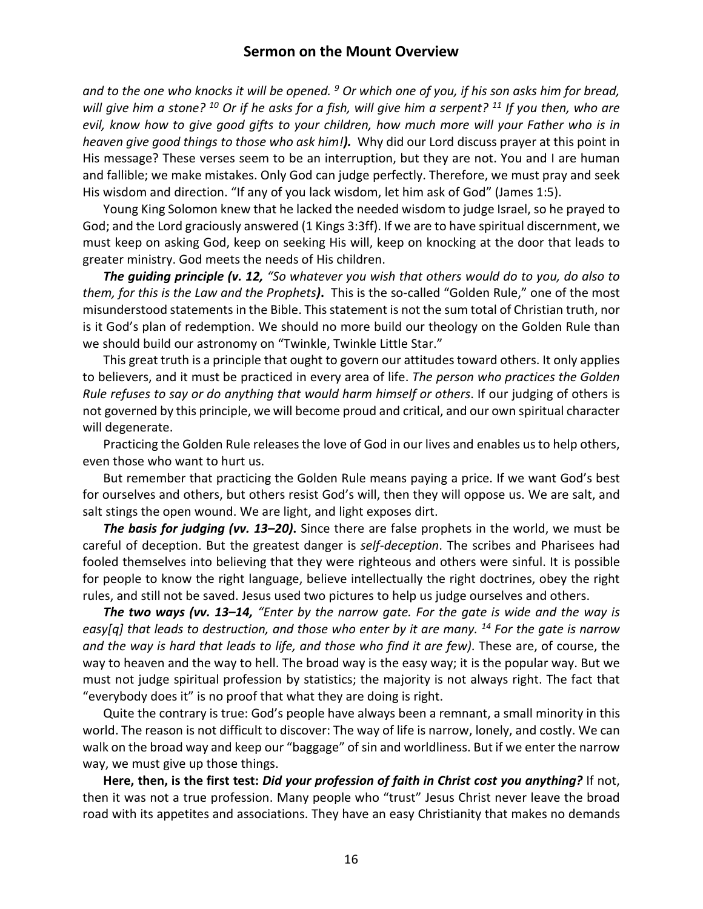*and to the one who knocks it will be opened. 9 Or which one of you, if his son asks him for bread, will give him a stone? 10 Or if he asks for a fish, will give him a serpent? 11 If you then, who are evil, know how to give good gifts to your children, how much more will your Father who is in heaven give good things to those who ask him!).* Why did our Lord discuss prayer at this point in His message? These verses seem to be an interruption, but they are not. You and I are human and fallible; we make mistakes. Only God can judge perfectly. Therefore, we must pray and seek His wisdom and direction. "If any of you lack wisdom, let him ask of God" (James 1:5).

Young King Solomon knew that he lacked the needed wisdom to judge Israel, so he prayed to God; and the Lord graciously answered (1 Kings 3:3ff). If we are to have spiritual discernment, we must keep on asking God, keep on seeking His will, keep on knocking at the door that leads to greater ministry. God meets the needs of His children.

*The guiding principle (v. 12, "So whatever you wish that others would do to you, do also to them, for this is the Law and the Prophets)***.** This is the so-called "Golden Rule," one of the most misunderstood statements in the Bible. This statement is not the sum total of Christian truth, nor is it God's plan of redemption. We should no more build our theology on the Golden Rule than we should build our astronomy on "Twinkle, Twinkle Little Star."

This great truth is a principle that ought to govern our attitudes toward others. It only applies to believers, and it must be practiced in every area of life. *The person who practices the Golden Rule refuses to say or do anything that would harm himself or others*. If our judging of others is not governed by this principle, we will become proud and critical, and our own spiritual character will degenerate.

Practicing the Golden Rule releases the love of God in our lives and enables us to help others, even those who want to hurt us.

But remember that practicing the Golden Rule means paying a price. If we want God's best for ourselves and others, but others resist God's will, then they will oppose us. We are salt, and salt stings the open wound. We are light, and light exposes dirt.

*The basis for judging (vv. 13–20)***.** Since there are false prophets in the world, we must be careful of deception. But the greatest danger is *self-deception*. The scribes and Pharisees had fooled themselves into believing that they were righteous and others were sinful. It is possible for people to know the right language, believe intellectually the right doctrines, obey the right rules, and still not be saved. Jesus used two pictures to help us judge ourselves and others.

*The two ways (vv. 13–14, "Enter by the narrow gate. For the gate is wide and the way is easy[q] that leads to destruction, and those who enter by it are many. 14 For the gate is narrow and the way is hard that leads to life, and those who find it are few)*. These are, of course, the way to heaven and the way to hell. The broad way is the easy way; it is the popular way. But we must not judge spiritual profession by statistics; the majority is not always right. The fact that "everybody does it" is no proof that what they are doing is right.

Quite the contrary is true: God's people have always been a remnant, a small minority in this world. The reason is not difficult to discover: The way of life is narrow, lonely, and costly. We can walk on the broad way and keep our "baggage" of sin and worldliness. But if we enter the narrow way, we must give up those things.

**Here, then, is the first test:** *Did your profession of faith in Christ cost you anything?* If not, then it was not a true profession. Many people who "trust" Jesus Christ never leave the broad road with its appetites and associations. They have an easy Christianity that makes no demands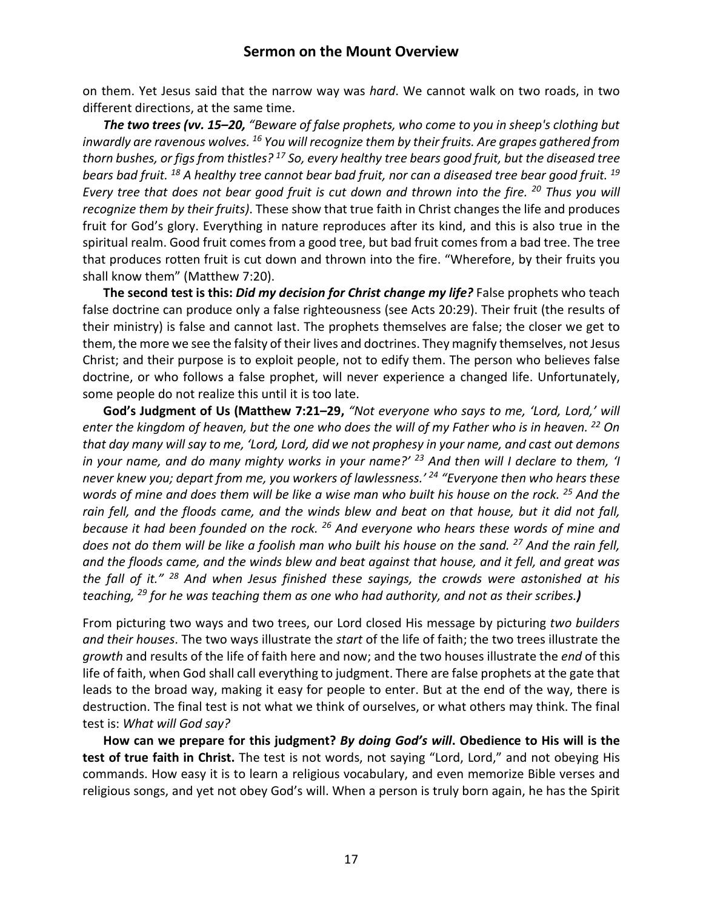on them. Yet Jesus said that the narrow way was *hard*. We cannot walk on two roads, in two different directions, at the same time.

*The two trees (vv. 15–20, "Beware of false prophets, who come to you in sheep's clothing but inwardly are ravenous wolves. 16 You will recognize them by their fruits. Are grapes gathered from thorn bushes, or figs from thistles? 17 So, every healthy tree bears good fruit, but the diseased tree bears bad fruit. 18 A healthy tree cannot bear bad fruit, nor can a diseased tree bear good fruit. 19 Every tree that does not bear good fruit is cut down and thrown into the fire. 20 Thus you will recognize them by their fruits)*. These show that true faith in Christ changes the life and produces fruit for God's glory. Everything in nature reproduces after its kind, and this is also true in the spiritual realm. Good fruit comes from a good tree, but bad fruit comes from a bad tree. The tree that produces rotten fruit is cut down and thrown into the fire. "Wherefore, by their fruits you shall know them" (Matthew 7:20).

**The second test is this:** *Did my decision for Christ change my life?* False prophets who teach false doctrine can produce only a false righteousness (see Acts 20:29). Their fruit (the results of their ministry) is false and cannot last. The prophets themselves are false; the closer we get to them, the more we see the falsity of their lives and doctrines. They magnify themselves, not Jesus Christ; and their purpose is to exploit people, not to edify them. The person who believes false doctrine, or who follows a false prophet, will never experience a changed life. Unfortunately, some people do not realize this until it is too late.

**God's Judgment of Us (Matthew 7:21–29,** *"Not everyone who says to me, 'Lord, Lord,' will enter the kingdom of heaven, but the one who does the will of my Father who is in heaven. 22 On that day many will say to me, 'Lord, Lord, did we not prophesy in your name, and cast out demons in your name, and do many mighty works in your name?' 23 And then will I declare to them, 'I never knew you; depart from me, you workers of lawlessness.' 24 "Everyone then who hears these words of mine and does them will be like a wise man who built his house on the rock. 25 And the rain fell, and the floods came, and the winds blew and beat on that house, but it did not fall, because it had been founded on the rock. 26 And everyone who hears these words of mine and does not do them will be like a foolish man who built his house on the sand. 27 And the rain fell, and the floods came, and the winds blew and beat against that house, and it fell, and great was the fall of it." 28 And when Jesus finished these sayings, the crowds were astonished at his teaching, 29 for he was teaching them as one who had authority, and not as their scribes.)*

From picturing two ways and two trees, our Lord closed His message by picturing *two builders and their houses*. The two ways illustrate the *start* of the life of faith; the two trees illustrate the *growth* and results of the life of faith here and now; and the two houses illustrate the *end* of this life of faith, when God shall call everything to judgment. There are false prophets at the gate that leads to the broad way, making it easy for people to enter. But at the end of the way, there is destruction. The final test is not what we think of ourselves, or what others may think. The final test is: *What will God say?*

**How can we prepare for this judgment?** *By doing God's will***. Obedience to His will is the test of true faith in Christ.** The test is not words, not saying "Lord, Lord," and not obeying His commands. How easy it is to learn a religious vocabulary, and even memorize Bible verses and religious songs, and yet not obey God's will. When a person is truly born again, he has the Spirit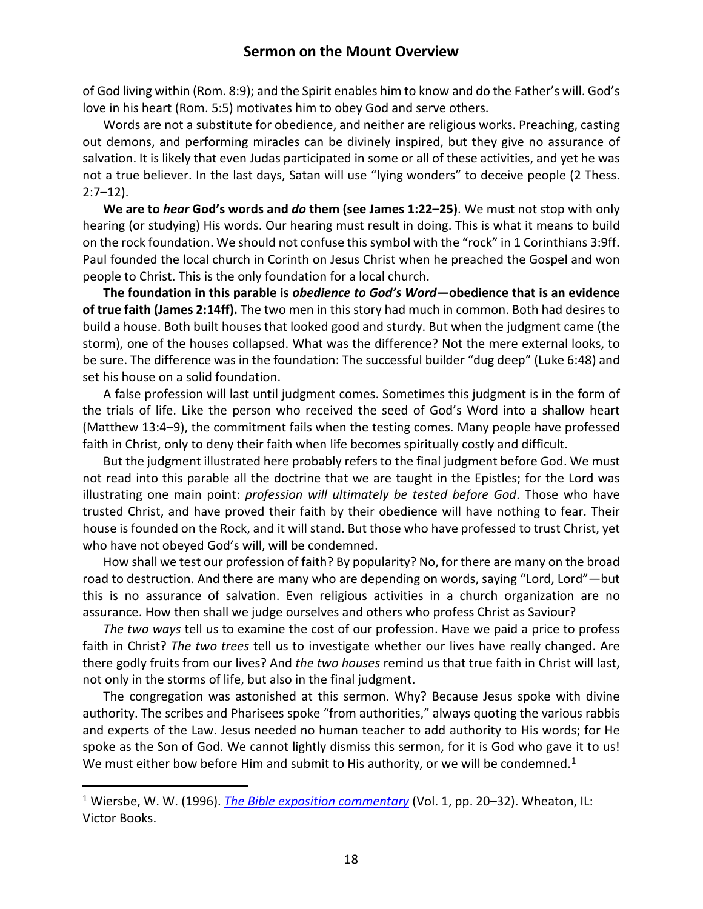of God living within (Rom. 8:9); and the Spirit enables him to know and do the Father's will. God's love in his heart (Rom. 5:5) motivates him to obey God and serve others.

Words are not a substitute for obedience, and neither are religious works. Preaching, casting out demons, and performing miracles can be divinely inspired, but they give no assurance of salvation. It is likely that even Judas participated in some or all of these activities, and yet he was not a true believer. In the last days, Satan will use "lying wonders" to deceive people (2 Thess. 2:7–12).

**We are to** *hear* **God's words and** *do* **them (see James 1:22–25)**. We must not stop with only hearing (or studying) His words. Our hearing must result in doing. This is what it means to build on the rock foundation. We should not confuse this symbol with the "rock" in 1 Corinthians 3:9ff. Paul founded the local church in Corinth on Jesus Christ when he preached the Gospel and won people to Christ. This is the only foundation for a local church.

**The foundation in this parable is** *obedience to God's Word***—obedience that is an evidence of true faith (James 2:14ff).** The two men in this story had much in common. Both had desires to build a house. Both built houses that looked good and sturdy. But when the judgment came (the storm), one of the houses collapsed. What was the difference? Not the mere external looks, to be sure. The difference was in the foundation: The successful builder "dug deep" (Luke 6:48) and set his house on a solid foundation.

A false profession will last until judgment comes. Sometimes this judgment is in the form of the trials of life. Like the person who received the seed of God's Word into a shallow heart (Matthew 13:4–9), the commitment fails when the testing comes. Many people have professed faith in Christ, only to deny their faith when life becomes spiritually costly and difficult.

But the judgment illustrated here probably refers to the final judgment before God. We must not read into this parable all the doctrine that we are taught in the Epistles; for the Lord was illustrating one main point: *profession will ultimately be tested before God*. Those who have trusted Christ, and have proved their faith by their obedience will have nothing to fear. Their house is founded on the Rock, and it will stand. But those who have professed to trust Christ, yet who have not obeyed God's will, will be condemned.

How shall we test our profession of faith? By popularity? No, for there are many on the broad road to destruction. And there are many who are depending on words, saying "Lord, Lord"—but this is no assurance of salvation. Even religious activities in a church organization are no assurance. How then shall we judge ourselves and others who profess Christ as Saviour?

*The two ways* tell us to examine the cost of our profession. Have we paid a price to profess faith in Christ? *The two trees* tell us to investigate whether our lives have really changed. Are there godly fruits from our lives? And *the two houses* remind us that true faith in Christ will last, not only in the storms of life, but also in the final judgment.

The congregation was astonished at this sermon. Why? Because Jesus spoke with divine authority. The scribes and Pharisees spoke "from authorities," always quoting the various rabbis and experts of the Law. Jesus needed no human teacher to add authority to His words; for He spoke as the Son of God. We cannot lightly dismiss this sermon, for it is God who gave it to us! We must either bow before Him and submit to His authority, or we will be condemned.<sup>1</sup>

<sup>1</sup> Wiersbe, W. W. (1996). *[The Bible exposition commentary](https://ref.ly/logosres/ntbec?ref=Bible.Mt5&off=13&ctx=CHAPTER+FOUR%0a%7ETHE+KING%E2%80%99S+PRINCIPLES:+TRUE)* (Vol. 1, pp. 20–32). Wheaton, IL: Victor Books.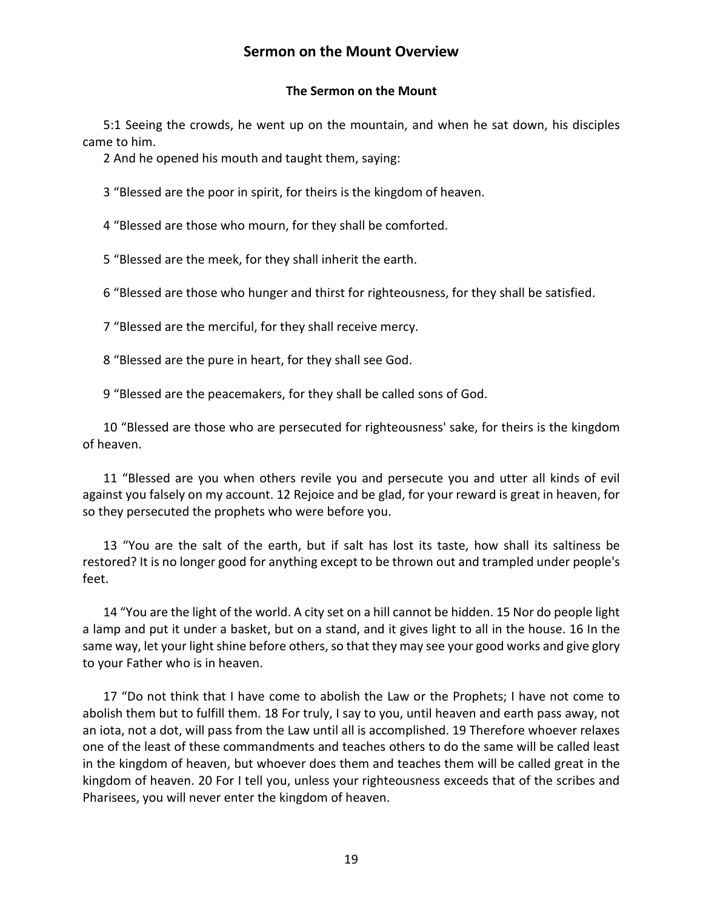#### **The Sermon on the Mount**

5:1 Seeing the crowds, he went up on the mountain, and when he sat down, his disciples came to him.

2 And he opened his mouth and taught them, saying:

3 "Blessed are the poor in spirit, for theirs is the kingdom of heaven.

4 "Blessed are those who mourn, for they shall be comforted.

5 "Blessed are the meek, for they shall inherit the earth.

6 "Blessed are those who hunger and thirst for righteousness, for they shall be satisfied.

7 "Blessed are the merciful, for they shall receive mercy.

8 "Blessed are the pure in heart, for they shall see God.

9 "Blessed are the peacemakers, for they shall be called sons of God.

10 "Blessed are those who are persecuted for righteousness' sake, for theirs is the kingdom of heaven.

11 "Blessed are you when others revile you and persecute you and utter all kinds of evil against you falsely on my account. 12 Rejoice and be glad, for your reward is great in heaven, for so they persecuted the prophets who were before you.

13 "You are the salt of the earth, but if salt has lost its taste, how shall its saltiness be restored? It is no longer good for anything except to be thrown out and trampled under people's feet.

14 "You are the light of the world. A city set on a hill cannot be hidden. 15 Nor do people light a lamp and put it under a basket, but on a stand, and it gives light to all in the house. 16 In the same way, let your light shine before others, so that they may see your good works and give glory to your Father who is in heaven.

17 "Do not think that I have come to abolish the Law or the Prophets; I have not come to abolish them but to fulfill them. 18 For truly, I say to you, until heaven and earth pass away, not an iota, not a dot, will pass from the Law until all is accomplished. 19 Therefore whoever relaxes one of the least of these commandments and teaches others to do the same will be called least in the kingdom of heaven, but whoever does them and teaches them will be called great in the kingdom of heaven. 20 For I tell you, unless your righteousness exceeds that of the scribes and Pharisees, you will never enter the kingdom of heaven.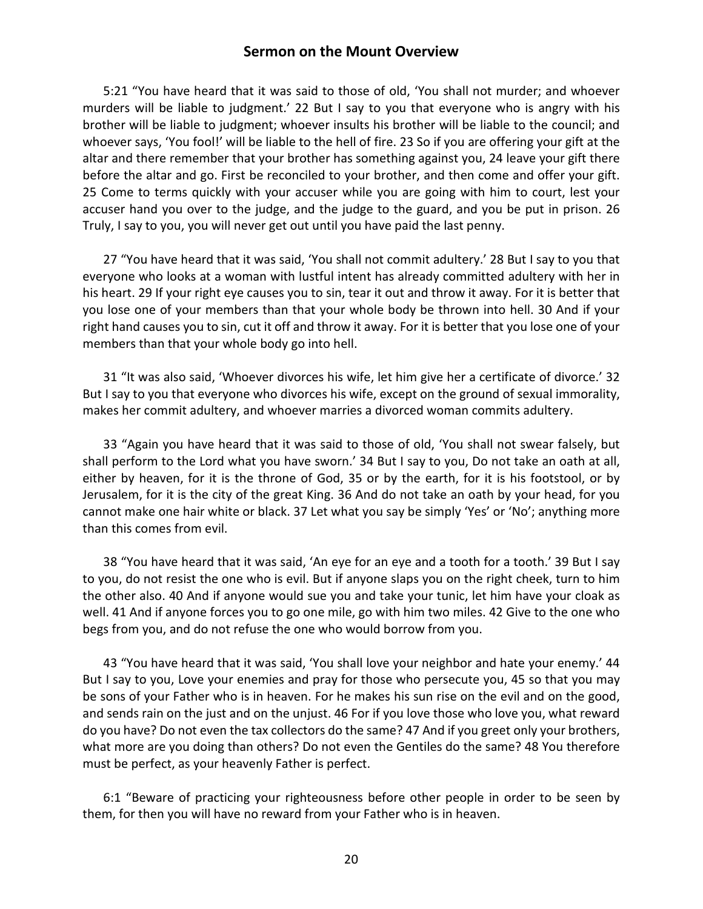5:21 "You have heard that it was said to those of old, 'You shall not murder; and whoever murders will be liable to judgment.' 22 But I say to you that everyone who is angry with his brother will be liable to judgment; whoever insults his brother will be liable to the council; and whoever says, 'You fool!' will be liable to the hell of fire. 23 So if you are offering your gift at the altar and there remember that your brother has something against you, 24 leave your gift there before the altar and go. First be reconciled to your brother, and then come and offer your gift. 25 Come to terms quickly with your accuser while you are going with him to court, lest your accuser hand you over to the judge, and the judge to the guard, and you be put in prison. 26 Truly, I say to you, you will never get out until you have paid the last penny.

27 "You have heard that it was said, 'You shall not commit adultery.' 28 But I say to you that everyone who looks at a woman with lustful intent has already committed adultery with her in his heart. 29 If your right eye causes you to sin, tear it out and throw it away. For it is better that you lose one of your members than that your whole body be thrown into hell. 30 And if your right hand causes you to sin, cut it off and throw it away. For it is better that you lose one of your members than that your whole body go into hell.

31 "It was also said, 'Whoever divorces his wife, let him give her a certificate of divorce.' 32 But I say to you that everyone who divorces his wife, except on the ground of sexual immorality, makes her commit adultery, and whoever marries a divorced woman commits adultery.

33 "Again you have heard that it was said to those of old, 'You shall not swear falsely, but shall perform to the Lord what you have sworn.' 34 But I say to you, Do not take an oath at all, either by heaven, for it is the throne of God, 35 or by the earth, for it is his footstool, or by Jerusalem, for it is the city of the great King. 36 And do not take an oath by your head, for you cannot make one hair white or black. 37 Let what you say be simply 'Yes' or 'No'; anything more than this comes from evil.

38 "You have heard that it was said, 'An eye for an eye and a tooth for a tooth.' 39 But I say to you, do not resist the one who is evil. But if anyone slaps you on the right cheek, turn to him the other also. 40 And if anyone would sue you and take your tunic, let him have your cloak as well. 41 And if anyone forces you to go one mile, go with him two miles. 42 Give to the one who begs from you, and do not refuse the one who would borrow from you.

43 "You have heard that it was said, 'You shall love your neighbor and hate your enemy.' 44 But I say to you, Love your enemies and pray for those who persecute you, 45 so that you may be sons of your Father who is in heaven. For he makes his sun rise on the evil and on the good, and sends rain on the just and on the unjust. 46 For if you love those who love you, what reward do you have? Do not even the tax collectors do the same? 47 And if you greet only your brothers, what more are you doing than others? Do not even the Gentiles do the same? 48 You therefore must be perfect, as your heavenly Father is perfect.

6:1 "Beware of practicing your righteousness before other people in order to be seen by them, for then you will have no reward from your Father who is in heaven.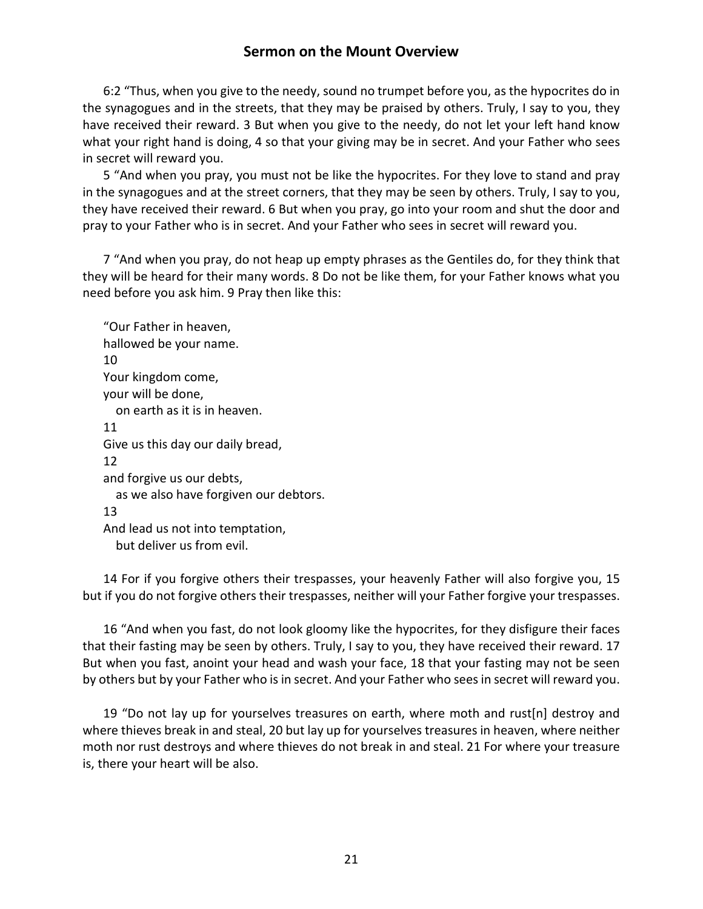6:2 "Thus, when you give to the needy, sound no trumpet before you, as the hypocrites do in the synagogues and in the streets, that they may be praised by others. Truly, I say to you, they have received their reward. 3 But when you give to the needy, do not let your left hand know what your right hand is doing, 4 so that your giving may be in secret. And your Father who sees in secret will reward you.

5 "And when you pray, you must not be like the hypocrites. For they love to stand and pray in the synagogues and at the street corners, that they may be seen by others. Truly, I say to you, they have received their reward. 6 But when you pray, go into your room and shut the door and pray to your Father who is in secret. And your Father who sees in secret will reward you.

7 "And when you pray, do not heap up empty phrases as the Gentiles do, for they think that they will be heard for their many words. 8 Do not be like them, for your Father knows what you need before you ask him. 9 Pray then like this:

"Our Father in heaven, hallowed be your name. 10 Your kingdom come, your will be done, on earth as it is in heaven. 11 Give us this day our daily bread, 12 and forgive us our debts, as we also have forgiven our debtors. 13 And lead us not into temptation, but deliver us from evil.

14 For if you forgive others their trespasses, your heavenly Father will also forgive you, 15 but if you do not forgive others their trespasses, neither will your Father forgive your trespasses.

16 "And when you fast, do not look gloomy like the hypocrites, for they disfigure their faces that their fasting may be seen by others. Truly, I say to you, they have received their reward. 17 But when you fast, anoint your head and wash your face, 18 that your fasting may not be seen by others but by your Father who is in secret. And your Father who sees in secret will reward you.

19 "Do not lay up for yourselves treasures on earth, where moth and rust[n] destroy and where thieves break in and steal, 20 but lay up for yourselves treasures in heaven, where neither moth nor rust destroys and where thieves do not break in and steal. 21 For where your treasure is, there your heart will be also.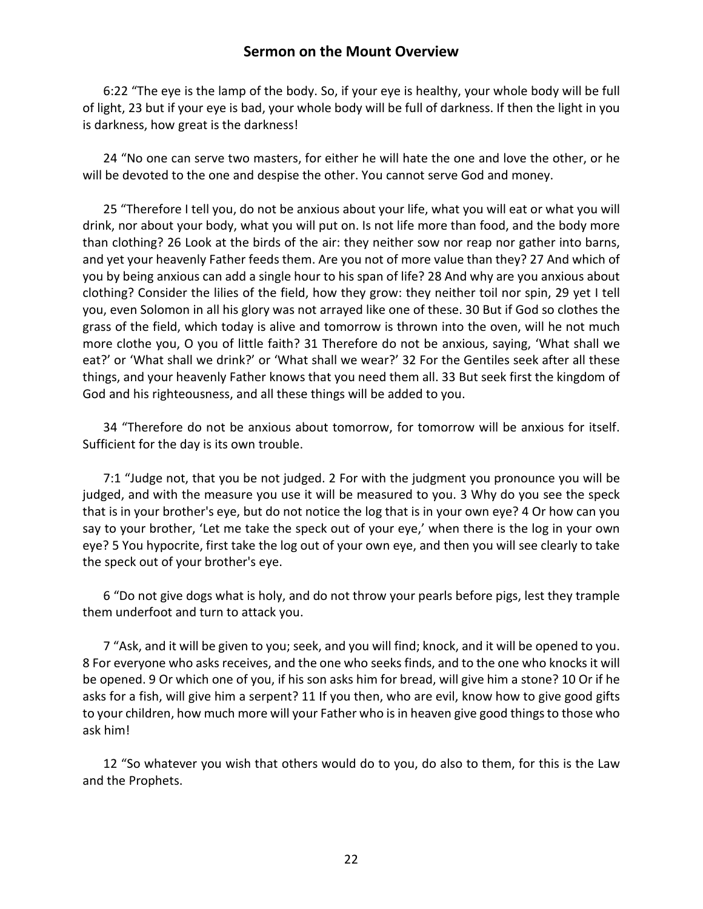6:22 "The eye is the lamp of the body. So, if your eye is healthy, your whole body will be full of light, 23 but if your eye is bad, your whole body will be full of darkness. If then the light in you is darkness, how great is the darkness!

24 "No one can serve two masters, for either he will hate the one and love the other, or he will be devoted to the one and despise the other. You cannot serve God and money.

25 "Therefore I tell you, do not be anxious about your life, what you will eat or what you will drink, nor about your body, what you will put on. Is not life more than food, and the body more than clothing? 26 Look at the birds of the air: they neither sow nor reap nor gather into barns, and yet your heavenly Father feeds them. Are you not of more value than they? 27 And which of you by being anxious can add a single hour to his span of life? 28 And why are you anxious about clothing? Consider the lilies of the field, how they grow: they neither toil nor spin, 29 yet I tell you, even Solomon in all his glory was not arrayed like one of these. 30 But if God so clothes the grass of the field, which today is alive and tomorrow is thrown into the oven, will he not much more clothe you, O you of little faith? 31 Therefore do not be anxious, saying, 'What shall we eat?' or 'What shall we drink?' or 'What shall we wear?' 32 For the Gentiles seek after all these things, and your heavenly Father knows that you need them all. 33 But seek first the kingdom of God and his righteousness, and all these things will be added to you.

34 "Therefore do not be anxious about tomorrow, for tomorrow will be anxious for itself. Sufficient for the day is its own trouble.

7:1 "Judge not, that you be not judged. 2 For with the judgment you pronounce you will be judged, and with the measure you use it will be measured to you. 3 Why do you see the speck that is in your brother's eye, but do not notice the log that is in your own eye? 4 Or how can you say to your brother, 'Let me take the speck out of your eye,' when there is the log in your own eye? 5 You hypocrite, first take the log out of your own eye, and then you will see clearly to take the speck out of your brother's eye.

6 "Do not give dogs what is holy, and do not throw your pearls before pigs, lest they trample them underfoot and turn to attack you.

7 "Ask, and it will be given to you; seek, and you will find; knock, and it will be opened to you. 8 For everyone who asks receives, and the one who seeks finds, and to the one who knocks it will be opened. 9 Or which one of you, if his son asks him for bread, will give him a stone? 10 Or if he asks for a fish, will give him a serpent? 11 If you then, who are evil, know how to give good gifts to your children, how much more will your Father who is in heaven give good things to those who ask him!

12 "So whatever you wish that others would do to you, do also to them, for this is the Law and the Prophets.